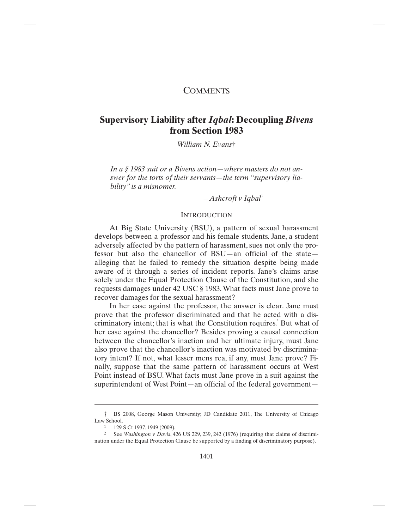# **COMMENTS**

# **Supervisory Liability after** *Iqbal***: Decoupling** *Bivens* **from Section 1983**

*William N. Evans*†

*In a § 1983 suit or a Bivens action—where masters do not answer for the torts of their servants—the term "supervisory liability" is a misnomer.*

 $-Ashcroft v Iqbal<sup>1</sup>$ 

### **INTRODUCTION**

At Big State University (BSU), a pattern of sexual harassment develops between a professor and his female students. Jane, a student adversely affected by the pattern of harassment, sues not only the professor but also the chancellor of BSU—an official of the state alleging that he failed to remedy the situation despite being made aware of it through a series of incident reports. Jane's claims arise solely under the Equal Protection Clause of the Constitution, and she requests damages under 42 USC § 1983. What facts must Jane prove to recover damages for the sexual harassment?

In her case against the professor, the answer is clear. Jane must prove that the professor discriminated and that he acted with a discriminatory intent; that is what the Constitution requires.<sup>2</sup> But what of her case against the chancellor? Besides proving a causal connection between the chancellor's inaction and her ultimate injury, must Jane also prove that the chancellor's inaction was motivated by discriminatory intent? If not, what lesser mens rea, if any, must Jane prove? Finally, suppose that the same pattern of harassment occurs at West Point instead of BSU. What facts must Jane prove in a suit against the superintendent of West Point—an official of the federal government—

<sup>†</sup> BS 2008, George Mason University; JD Candidate 2011, The University of Chicago Law School.

<sup>1 129</sup> S Ct 1937, 1949 (2009).

<sup>2</sup> See *Washington v Davis*, 426 US 229, 239, 242 (1976) (requiring that claims of discrimination under the Equal Protection Clause be supported by a finding of discriminatory purpose).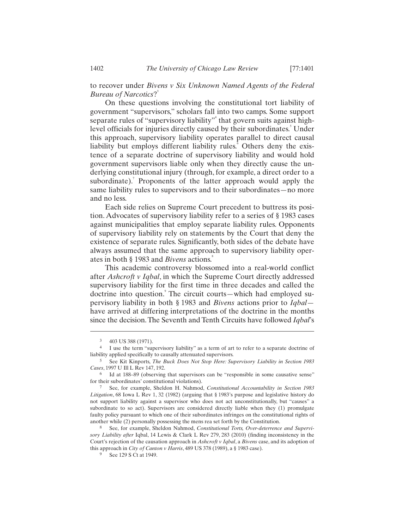to recover under *Bivens v Six Unknown Named Agents of the Federal Bureau of Narcotics*? 3

On these questions involving the constitutional tort liability of government "supervisors," scholars fall into two camps. Some support separate rules of "supervisory liability" that govern suits against highlevel officials for injuries directly caused by their subordinates.<sup>5</sup> Under this approach, supervisory liability operates parallel to direct causal liability but employs different liability rules. Others deny the existence of a separate doctrine of supervisory liability and would hold government supervisors liable only when they directly cause the underlying constitutional injury (through, for example, a direct order to a subordinate).<sup>7</sup> Proponents of the latter approach would apply the same liability rules to supervisors and to their subordinates—no more and no less.

Each side relies on Supreme Court precedent to buttress its position. Advocates of supervisory liability refer to a series of § 1983 cases against municipalities that employ separate liability rules. Opponents of supervisory liability rely on statements by the Court that deny the existence of separate rules. Significantly, both sides of the debate have always assumed that the same approach to supervisory liability operates in both § 1983 and *Bivens* actions.<sup>8</sup>

This academic controversy blossomed into a real-world conflict after *Ashcroft v Iqbal*, in which the Supreme Court directly addressed supervisory liability for the first time in three decades and called the doctrine into question. The circuit courts—which had employed supervisory liability in both § 1983 and *Bivens* actions prior to *Iqbal* have arrived at differing interpretations of the doctrine in the months since the decision. The Seventh and Tenth Circuits have followed *Iqbal*'s

<sup>3 403</sup> US 388 (1971).

<sup>&</sup>lt;sup>4</sup> I use the term "supervisory liability" as a term of art to refer to a separate doctrine of liability applied specifically to causally attenuated supervisors.

<sup>5</sup> See Kit Kinports, *The Buck Does Not Stop Here: Supervisory Liability in Section 1983 Cases*, 1997 U Ill L Rev 147, 192.

<sup>&</sup>lt;sup>6</sup> Id at 188–89 (observing that supervisors can be "responsible in some causative sense" for their subordinates' constitutional violations).

for their subordinates' constitutional violations). 7 See, for example, Sheldon H. Nahmod, *Constitutional Accountability in Section 1983 Litigation*, 68 Iowa L Rev 1, 32 (1982) (arguing that § 1983's purpose and legislative history do not support liability against a supervisor who does not act unconstitutionally, but "causes" a subordinate to so act). Supervisors are considered directly liable when they (1) promulgate faulty policy pursuant to which one of their subordinates infringes on the constitutional rights of another while (2) personally possessing the mens rea set forth by the Constitution.

<sup>8</sup> See, for example, Sheldon Nahmod, *Constitutional Torts, Over-deterrence and Supervisory Liability after* Iqbal, 14 Lewis & Clark L Rev 279, 283 (2010) (finding inconsistency in the Court's rejection of the causation approach in *Ashcroft v Iqbal*, a *Bivens* case, and its adoption of this approach in *City of Canton v Harris*, 489 US 378 (1989), a § 1983 case).<br><sup>9</sup> See 129 S Ct at 1949.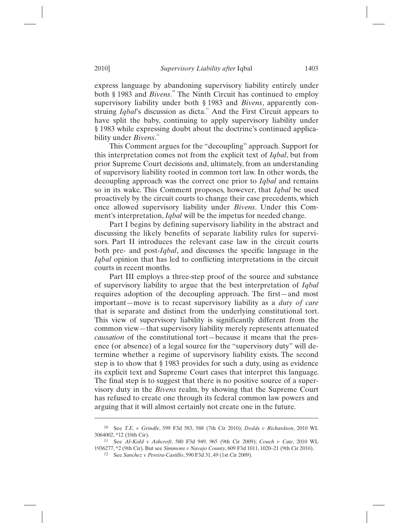express language by abandoning supervisory liability entirely under both § 1983 and *Bivens*.<sup>10</sup> The Ninth Circuit has continued to employ supervisory liability under both § 1983 and *Bivens*, apparently construing *Iqbal*'s discussion as dicta.<sup>11</sup> And the First Circuit appears to have split the baby, continuing to apply supervisory liability under § 1983 while expressing doubt about the doctrine's continued applicability under *Bivens*. 12

This Comment argues for the "decoupling" approach. Support for this interpretation comes not from the explicit text of *Iqbal*, but from prior Supreme Court decisions and, ultimately, from an understanding of supervisory liability rooted in common tort law. In other words, the decoupling approach was the correct one prior to *Iqbal* and remains so in its wake. This Comment proposes, however, that *Iqbal* be used proactively by the circuit courts to change their case precedents, which once allowed supervisory liability under *Bivens*. Under this Comment's interpretation, *Iqbal* will be the impetus for needed change.

Part I begins by defining supervisory liability in the abstract and discussing the likely benefits of separate liability rules for supervisors. Part II introduces the relevant case law in the circuit courts both pre- and post-*Iqbal*, and discusses the specific language in the *Iqbal* opinion that has led to conflicting interpretations in the circuit courts in recent months.

Part III employs a three-step proof of the source and substance of supervisory liability to argue that the best interpretation of *Iqbal* requires adoption of the decoupling approach. The first—and most important—move is to recast supervisory liability as a *duty of care* that is separate and distinct from the underlying constitutional tort. This view of supervisory liability is significantly different from the common view—that supervisory liability merely represents attenuated *causation* of the constitutional tort—because it means that the presence (or absence) of a legal source for the "supervisory duty" will determine whether a regime of supervisory liability exists. The second step is to show that § 1983 provides for such a duty, using as evidence its explicit text and Supreme Court cases that interpret this language. The final step is to suggest that there is no positive source of a supervisory duty in the *Bivens* realm, by showing that the Supreme Court has refused to create one through its federal common law powers and arguing that it will almost certainly not create one in the future.

<sup>10</sup> See *T.E. v Grindle*, 599 F3d 583, 588 (7th Cir 2010); *Dodds v Richardson*, 2010 WL 3064002, \*12 (10th Cir).

<sup>11</sup> See *Al-Kidd v Ashcroft*, 580 F3d 949, 965 (9th Cir 2009); *Couch v Cate*, 2010 WL 1936277, \*2 (9th Cir). But see *Simmons v Navajo County*, 609 F3d 1011, 1020–21 (9th Cir 2010).

<sup>12</sup> See *Sanchez v Pereira-Castillo*, 590 F3d 31, 49 (1st Cir 2009).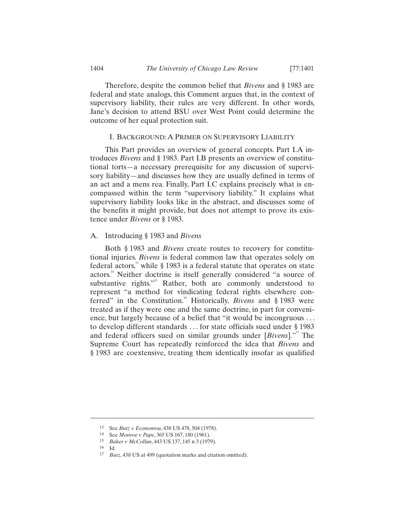Therefore, despite the common belief that *Bivens* and § 1983 are federal and state analogs, this Comment argues that, in the context of supervisory liability, their rules are very different. In other words, Jane's decision to attend BSU over West Point could determine the outcome of her equal protection suit.

### I. BACKGROUND:A PRIMER ON SUPERVISORY LIABILITY

This Part provides an overview of general concepts. Part I.A introduces *Bivens* and § 1983. Part I.B presents an overview of constitutional torts—a necessary prerequisite for any discussion of supervisory liability—and discusses how they are usually defined in terms of an act and a mens rea. Finally, Part I.C explains precisely what is encompassed within the term "supervisory liability." It explains what supervisory liability looks like in the abstract, and discusses some of the benefits it might provide, but does not attempt to prove its existence under *Bivens* or § 1983.

#### A. Introducing § 1983 and *Bivens*

Both § 1983 and *Bivens* create routes to recovery for constitutional injuries. *Bivens* is federal common law that operates solely on federal actors, $\frac{13}{3}$  while § 1983 is a federal statute that operates on state actors.14 Neither doctrine is itself generally considered "a source of substantive rights."<sup>15</sup> Rather, both are commonly understood to represent "a method for vindicating federal rights elsewhere conferred" in the Constitution.<sup>16</sup> Historically, *Bivens* and § 1983 were treated as if they were one and the same doctrine, in part for convenience, but largely because of a belief that "it would be incongruous . . . to develop different standards . . . for state officials sued under § 1983 and federal officers sued on similar grounds under [*Bivens*]."<sup>17</sup> The Supreme Court has repeatedly reinforced the idea that *Bivens* and § 1983 are coextensive, treating them identically insofar as qualified

<sup>13</sup> See *Butz v Economou*, 438 US 478, 504 (1978). 14 See *Monroe v Pape*, 365 US 167, 180 (1961).

<sup>15</sup> *Baker v McCollan*, 443 US 137, 145 n 3 (1979).<br><sup>16</sup> Id.<br><sup>17</sup> *Butz* 438 US at 499 (quotation marks and cital

Butz, 438 US at 499 (quotation marks and citation omitted).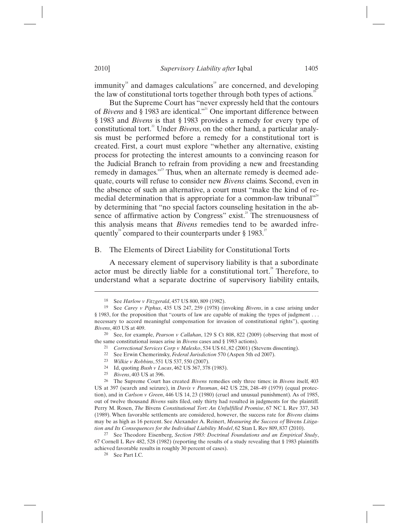2010] *Supervisory Liability after* Iqbal 1405

immunity<sup>18</sup> and damages calculations<sup>19</sup> are concerned, and developing the law of constitutional torts together through both types of actions.<sup>2</sup>

But the Supreme Court has "never expressly held that the contours of *Bivens* and § 1983 are identical."<sup>21</sup> One important difference between § 1983 and *Bivens* is that § 1983 provides a remedy for every type of constitutional tort.<sup>22</sup> Under *Bivens*, on the other hand, a particular analysis must be performed before a remedy for a constitutional tort is created. First, a court must explore "whether any alternative, existing process for protecting the interest amounts to a convincing reason for the Judicial Branch to refrain from providing a new and freestanding remedy in damages."<sup>33</sup> Thus, when an alternate remedy is deemed adequate, courts will refuse to consider new *Bivens* claims. Second, even in the absence of such an alternative, a court must "make the kind of remedial determination that is appropriate for a common-law tribunal"<sup>4</sup> by determining that "no special factors counseling hesitation in the absence of affirmative action by Congress" exist. $25$  The strenuousness of this analysis means that *Bivens* remedies tend to be awarded infrequently<sup>26</sup> compared to their counterparts under § 1983.<sup>27</sup>

### B. The Elements of Direct Liability for Constitutional Torts

A necessary element of supervisory liability is that a subordinate actor must be directly liable for a constitutional tort.<sup>28</sup> Therefore, to understand what a separate doctrine of supervisory liability entails,

- 
- 
- 
- <sup>24</sup> Id, quoting *Bush v Lucas*, 462 US 367, 378 (1983).<br><sup>25</sup> *Bivens*, 403 US at 396
- 25 *Bivens*, 403 US at 396.

<sup>18</sup> See *Harlow v Fitzgerald*, 457 US 800, 809 (1982). 19 See *Carey v Piphus*, 435 US 247, 259 (1978) (invoking *Bivens*, in a case arising under § 1983, for the proposition that "courts of law are capable of making the types of judgment . . . necessary to accord meaningful compensation for invasion of constitutional rights"), quoting *Bivens*, 403 US at 409. 20 See, for example, *Pearson v Callahan*, 129 S Ct 808, 822 (2009) (observing that most of

the same constitutional issues arise in *Bivens* cases and § 1983 actions).<br><sup>21</sup> *Correctional Services Corp v Malesko*, 534 US 61, 82 (2001) (Stevens dissenting).<br><sup>22</sup> See Erwin Chemerinsky, *Federal Jurisdiction* 570 (A

<sup>26</sup> The Supreme Court has created *Bivens* remedies only three times: in *Bivens* itself, 403 US at 397 (search and seizure), in *Davis v Passman*, 442 US 228, 248–49 (1979) (equal protection), and in *Carlson v Green*, 446 US 14, 23 (1980) (cruel and unusual punishment). As of 1985, out of twelve thousand *Bivens* suits filed, only thirty had resulted in judgments for the plaintiff. Perry M. Rosen, *The* Bivens *Constitutional Tort: An Unfulfilled Promise*, 67 NC L Rev 337, 343 (1989). When favorable settlements are considered, however, the success rate for *Bivens* claims may be as high as 16 percent. See Alexander A. Reinert, *Measuring the Success of* Bivens *Litigation and Its Consequences for the Individual Liability Model*, 62 Stan L Rev 809, 837 (2010).

<sup>27</sup> See Theodore Eisenberg, *Section 1983: Doctrinal Foundations and an Empirical Study*, 67 Cornell L Rev 482, 528 (1982) (reporting the results of a study revealing that § 1983 plaintiffs achieved favorable results in roughly 30 percent of cases).

<sup>28</sup> See Part I.C.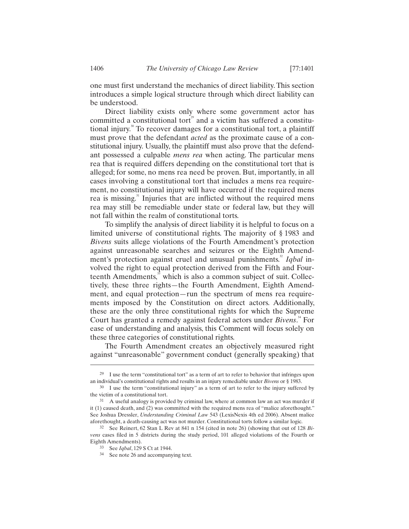one must first understand the mechanics of direct liability. This section introduces a simple logical structure through which direct liability can be understood.

Direct liability exists only where some government actor has committed a constitutional tort $\theta$  and a victim has suffered a constitutional injury.<sup>30</sup> To recover damages for a constitutional tort, a plaintiff must prove that the defendant *acted* as the proximate cause of a constitutional injury. Usually, the plaintiff must also prove that the defendant possessed a culpable *mens rea* when acting. The particular mens rea that is required differs depending on the constitutional tort that is alleged; for some, no mens rea need be proven. But, importantly, in all cases involving a constitutional tort that includes a mens rea requirement, no constitutional injury will have occurred if the required mens rea is missing.<sup>31</sup> Injuries that are inflicted without the required mens rea may still be remediable under state or federal law, but they will not fall within the realm of constitutional torts.

To simplify the analysis of direct liability it is helpful to focus on a limited universe of constitutional rights. The majority of § 1983 and *Bivens* suits allege violations of the Fourth Amendment's protection against unreasonable searches and seizures or the Eighth Amendment's protection against cruel and unusual punishments.<sup>32</sup> *Iqbal* involved the right to equal protection derived from the Fifth and Fourteenth Amendments,<sup>33</sup> which is also a common subject of suit. Collectively, these three rights—the Fourth Amendment, Eighth Amendment, and equal protection—run the spectrum of mens rea requirements imposed by the Constitution on direct actors. Additionally, these are the only three constitutional rights for which the Supreme Court has granted a remedy against federal actors under *Bivens*. 34 For ease of understanding and analysis, this Comment will focus solely on these three categories of constitutional rights.

The Fourth Amendment creates an objectively measured right against "unreasonable" government conduct (generally speaking) that

<sup>&</sup>lt;sup>29</sup> I use the term "constitutional tort" as a term of art to refer to behavior that infringes upon an individual's constitutional rights and results in an injury remediable under *Bivens* or  $\S$  1983.

<sup>&</sup>lt;sup>30</sup> I use the term "constitutional injury" as a term of art to refer to the injury suffered by the victim of a constitutional tort.

<sup>31</sup> A useful analogy is provided by criminal law, where at common law an act was murder if it (1) caused death, and (2) was committed with the required mens rea of "malice aforethought." See Joshua Dressler, *Understanding Criminal Law* 543 (LexisNexis 4th ed 2006). Absent malice aforethought, a death-causing act was not murder. Constitutional torts follow a similar logic.

<sup>32</sup> See Reinert, 62 Stan L Rev at 841 n 154 (cited in note 26) (showing that out of 128 *Bivens* cases filed in 5 districts during the study period, 101 alleged violations of the Fourth or Eighth Amendments).

<sup>33</sup> See *Igbal*, 129 S Ct at 1944.

<sup>34</sup> See note 26 and accompanying text.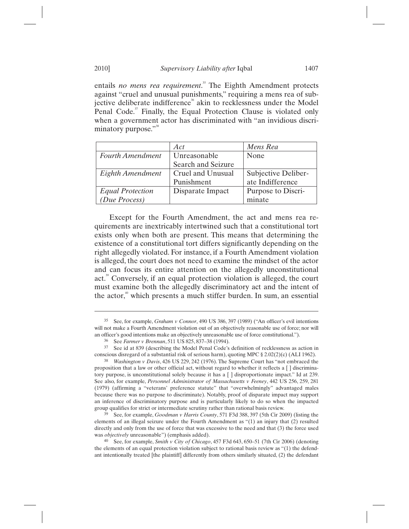2010] *Supervisory Liability after* Iqbal 1407

entails *no mens rea requirement*.<sup>35</sup> The Eighth Amendment protects against "cruel and unusual punishments," requiring a mens rea of subjective deliberate indifference<sup>36</sup> akin to recklessness under the Model Penal Code.<sup>37</sup> Finally, the Equal Protection Clause is violated only when a government actor has discriminated with "an invidious discriminatory purpose."<sup>38</sup>

|                         | Act.               | Mens Rea            |
|-------------------------|--------------------|---------------------|
| <b>Fourth Amendment</b> | Unreasonable       | None                |
|                         | Search and Seizure |                     |
| Eighth Amendment        | Cruel and Unusual  | Subjective Deliber- |
|                         | Punishment         | ate Indifference    |
| <b>Equal Protection</b> | Disparate Impact   | Purpose to Discri-  |
| (Due Process)           |                    | minate              |

Except for the Fourth Amendment, the act and mens rea requirements are inextricably intertwined such that a constitutional tort exists only when both are present. This means that determining the existence of a constitutional tort differs significantly depending on the right allegedly violated. For instance, if a Fourth Amendment violation is alleged, the court does not need to examine the mindset of the actor and can focus its entire attention on the allegedly unconstitutional act.<sup>39</sup> Conversely, if an equal protection violation is alleged, the court must examine both the allegedly discriminatory act and the intent of the actor, $\psi$  which presents a much stiffer burden. In sum, an essential

elements of an illegal seizure under the Fourth Amendment as "(1) an injury that (2) resulted directly and only from the use of force that was excessive to the need and that (3) the force used was *objectively* unreasonable") (emphasis added).

40 See, for example, *Smith v City of Chicago*, 457 F3d 643, 650–51 (7th Cir 2006) (denoting the elements of an equal protection violation subject to rational basis review as "(1) the defendant intentionally treated [the plaintiff] differently from others similarly situated, (2) the defendant

<sup>35</sup> See, for example, *Graham v Connor*, 490 US 386, 397 (1989) ("An officer's evil intentions will not make a Fourth Amendment violation out of an objectively reasonable use of force; nor will an officer's good intentions make an objectively unreasonable use of force constitutional.").

<sup>36</sup> See *Farmer v Brennan*, 511 US 825, 837–38 (1994). 37 See id at 839 (describing the Model Penal Code's definition of recklessness as action in conscious disregard of a substantial risk of serious harm), quoting MPC  $\S 2.02(2)(c)$  (ALI 1962).

<sup>38</sup> *Washington v Davis*, 426 US 229, 242 (1976). The Supreme Court has "not embraced the proposition that a law or other official act, without regard to whether it reflects a [ ] discriminatory purpose, is unconstitutional solely because it has a [ ] disproportionate impact." Id at 239. See also, for example, *Personnel Administrator of Massachusetts v Feeney*, 442 US 256, 259, 281 (1979) (affirming a "veterans' preference statute" that "overwhelmingly" advantaged males because there was no purpose to discriminate). Notably, proof of disparate impact may support an inference of discriminatory purpose and is particularly likely to do so when the impacted group qualifies for strict or intermediate scrutiny rather than rational basis review. 39 See, for example, *Goodman v Harris County*, 571 F3d 388, 397 (5th Cir 2009) (listing the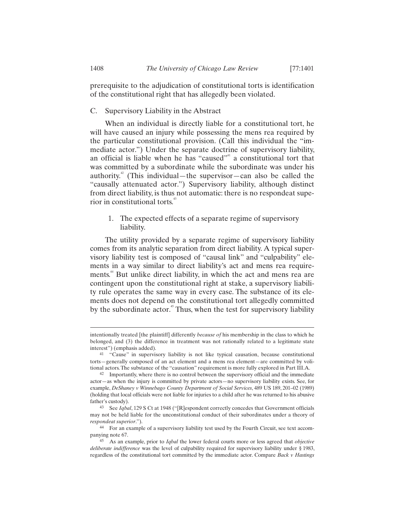prerequisite to the adjudication of constitutional torts is identification of the constitutional right that has allegedly been violated.

### C. Supervisory Liability in the Abstract

When an individual is directly liable for a constitutional tort, he will have caused an injury while possessing the mens rea required by the particular constitutional provision. (Call this individual the "immediate actor.") Under the separate doctrine of supervisory liability, an official is liable when he has "caused"<sup>41</sup> a constitutional tort that was committed by a subordinate while the subordinate was under his authority.<sup>42</sup> (This individual—the supervisor—can also be called the "causally attenuated actor.") Supervisory liability, although distinct from direct liability, is thus not automatic: there is no respondeat superior in constitutional torts.<sup>43</sup>

# 1. The expected effects of a separate regime of supervisory liability.

The utility provided by a separate regime of supervisory liability comes from its analytic separation from direct liability. A typical supervisory liability test is composed of "causal link" and "culpability" elements in a way similar to direct liability's act and mens rea requirements.<sup>44</sup> But unlike direct liability, in which the act and mens rea are contingent upon the constitutional right at stake, a supervisory liability rule operates the same way in every case. The substance of its elements does not depend on the constitutional tort allegedly committed by the subordinate actor.<sup>45</sup> Thus, when the test for supervisory liability

intentionally treated [the plaintiff] differently *because of* his membership in the class to which he belonged, and (3) the difference in treatment was not rationally related to a legitimate state interest") (emphasis added). 41 "Cause" in supervisory liability is not like typical causation, because constitutional

torts—generally composed of an act element and a mens rea element—are committed by voli-

tional actors. The substance of the "causation" requirement is more fully explored in Part III.A. 42 Importantly, where there is no control between the supervisory official and the immediate actor—as when the injury is committed by private actors—no supervisory liability exists. See, for example, *DeShaney v Winnebago County Department of Social Services*, 489 US 189, 201–02 (1989) (holding that local officials were not liable for injuries to a child after he was returned to his abusive

father's custody). 43 See *Iqbal*, 129 S Ct at 1948 ("[R]espondent correctly concedes that Government officials may not be held liable for the unconstitutional conduct of their subordinates under a theory of *respondeat superior*.").

<sup>44</sup> For an example of a supervisory liability test used by the Fourth Circuit, see text accompanying note 67.

<sup>45</sup> As an example, prior to *Iqbal* the lower federal courts more or less agreed that *objective deliberate indifference* was the level of culpability required for supervisory liability under § 1983, regardless of the constitutional tort committed by the immediate actor. Compare *Back v Hastings*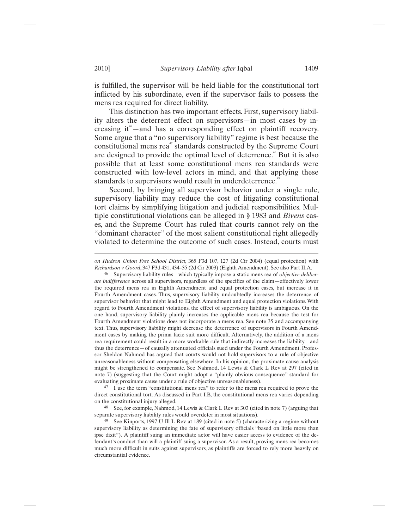is fulfilled, the supervisor will be held liable for the constitutional tort inflicted by his subordinate, even if the supervisor fails to possess the mens rea required for direct liability.

This distinction has two important effects. First, supervisory liability alters the deterrent effect on supervisors—in most cases by increasing it<sup> $\text{A}^*$ </sup>—and has a corresponding effect on plaintiff recovery. Some argue that a "no supervisory liability" regime is best because the constitutional mens rea<sup>47</sup> standards constructed by the Supreme Court are designed to provide the optimal level of deterrence.<sup>48</sup> But it is also possible that at least some constitutional mens rea standards were constructed with low-level actors in mind, and that applying these standards to supervisors would result in underdeterrence.<sup>\*</sup>

Second, by bringing all supervisor behavior under a single rule, supervisory liability may reduce the cost of litigating constitutional tort claims by simplifying litigation and judicial responsibilities. Multiple constitutional violations can be alleged in § 1983 and *Bivens* cases, and the Supreme Court has ruled that courts cannot rely on the "dominant character" of the most salient constitutional right allegedly violated to determine the outcome of such cases. Instead, courts must

<sup>47</sup> I use the term "constitutional mens rea" to refer to the mens rea required to prove the direct constitutional tort. As discussed in Part I.B, the constitutional mens rea varies depending

on the constitutional injury alleged. 48 See, for example, Nahmod, 14 Lewis & Clark L Rev at 303 (cited in note 7) (arguing that separate supervisory liability rules would overdeter in most situations).

*on Hudson Union Free School District*, 365 F3d 107, 127 (2d Cir 2004) (equal protection) with

*Richardson v Goord*, 347 F3d 431, 434–35 (2d Cir 2003) (Eighth Amendment). See also Part II.A. 46 Supervisory liability rules—which typically impose a static mens rea of *objective deliberate indifference* across all supervisors, regardless of the specifics of the claim—effectively lower the required mens rea in Eighth Amendment and equal protection cases, but increase it in Fourth Amendment cases. Thus, supervisory liability undoubtedly increases the deterrence of supervisor behavior that might lead to Eighth Amendment and equal protection violations. With regard to Fourth Amendment violations, the effect of supervisory liability is ambiguous. On the one hand, supervisory liability plainly increases the applicable mens rea because the test for Fourth Amendment violations does not incorporate a mens rea. See note 35 and accompanying text. Thus, supervisory liability might decrease the deterrence of supervisors in Fourth Amendment cases by making the prima facie suit more difficult. Alternatively, the addition of a mens rea requirement could result in a more workable rule that indirectly increases the liability—and thus the deterrence—of causally attenuated officials sued under the Fourth Amendment. Professor Sheldon Nahmod has argued that courts would not hold supervisors to a rule of objective unreasonableness without compensating elsewhere. In his opinion, the proximate cause analysis might be strengthened to compensate. See Nahmod, 14 Lewis & Clark L Rev at 297 (cited in note 7) (suggesting that the Court might adopt a "plainly obvious consequence" standard for evaluating proximate cause under a rule of objective unreasonableness).

<sup>49</sup> See Kinports, 1997 U Ill L Rev at 189 (cited in note 5) (characterizing a regime without supervisory liability as determining the fate of supervisory officials "based on little more than ipse dixit"). A plaintiff suing an immediate actor will have easier access to evidence of the defendant's conduct than will a plaintiff suing a supervisor. As a result, proving mens rea becomes much more difficult in suits against supervisors, as plaintiffs are forced to rely more heavily on circumstantial evidence.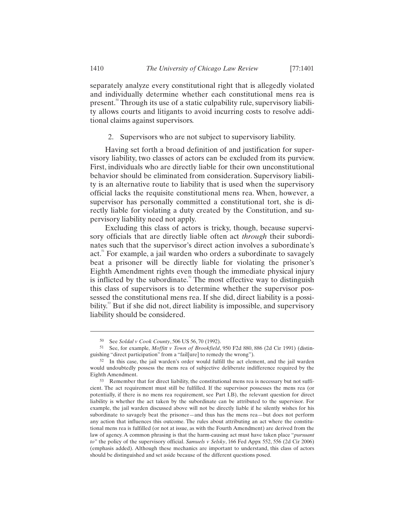separately analyze every constitutional right that is allegedly violated and individually determine whether each constitutional mens rea is present.<sup>50</sup> Through its use of a static culpability rule, supervisory liability allows courts and litigants to avoid incurring costs to resolve additional claims against supervisors.

2. Supervisors who are not subject to supervisory liability.

Having set forth a broad definition of and justification for supervisory liability, two classes of actors can be excluded from its purview. First, individuals who are directly liable for their own unconstitutional behavior should be eliminated from consideration. Supervisory liability is an alternative route to liability that is used when the supervisory official lacks the requisite constitutional mens rea. When, however, a supervisor has personally committed a constitutional tort, she is directly liable for violating a duty created by the Constitution, and supervisory liability need not apply.

Excluding this class of actors is tricky, though, because supervisory officials that are directly liable often act *through* their subordinates such that the supervisor's direct action involves a subordinate's act.<sup>51</sup> For example, a jail warden who orders a subordinate to savagely beat a prisoner will be directly liable for violating the prisoner's Eighth Amendment rights even though the immediate physical injury is inflicted by the subordinate. $^{\degree}$  The most effective way to distinguish this class of supervisors is to determine whether the supervisor possessed the constitutional mens rea. If she did, direct liability is a possibility.<sup>53</sup> But if she did not, direct liability is impossible, and supervisory liability should be considered.

<sup>50</sup> See *Soldal v Cook County*, 506 US 56, 70 (1992).

<sup>51</sup> See, for example, *Moffitt v Town of Brookfield*, 950 F2d 880, 886 (2d Cir 1991) (distinguishing "direct participation" from a "fail[ure] to remedy the wrong").

<sup>52</sup> In this case, the jail warden's order would fulfill the act element, and the jail warden would undoubtedly possess the mens rea of subjective deliberate indifference required by the Eighth Amendment.<br><sup>53</sup> Remember that for direct liability, the constitutional mens rea is necessary but not suffi-

cient. The act requirement must still be fulfilled. If the supervisor possesses the mens rea (or potentially, if there is no mens rea requirement, see Part I.B), the relevant question for direct liability is whether the act taken by the subordinate can be attributed to the supervisor. For example, the jail warden discussed above will not be directly liable if he silently wishes for his subordinate to savagely beat the prisoner—and thus has the mens rea—but does not perform any action that influences this outcome. The rules about attributing an act where the constitutional mens rea is fulfilled (or not at issue, as with the Fourth Amendment) are derived from the law of agency. A common phrasing is that the harm-causing act must have taken place "*pursuant to*" the policy of the supervisory official. *Samuels v Selsky*, 166 Fed Appx 552, 556 (2d Cir 2006) (emphasis added). Although these mechanics are important to understand, this class of actors should be distinguished and set aside because of the different questions posed.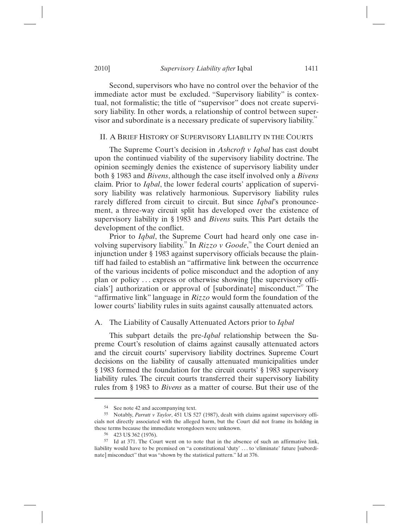Second, supervisors who have no control over the behavior of the immediate actor must be excluded. "Supervisory liability" is contextual, not formalistic; the title of "supervisor" does not create supervisory liability. In other words, a relationship of control between supervisor and subordinate is a necessary predicate of supervisory liability.<sup>4</sup>

### II. A BRIEF HISTORY OF SUPERVISORY LIABILITY IN THE COURTS

The Supreme Court's decision in *Ashcroft v Iqbal* has cast doubt upon the continued viability of the supervisory liability doctrine. The opinion seemingly denies the existence of supervisory liability under both § 1983 and *Bivens*, although the case itself involved only a *Bivens* claim. Prior to *Iqbal*, the lower federal courts' application of supervisory liability was relatively harmonious. Supervisory liability rules rarely differed from circuit to circuit. But since *Iqbal*'s pronouncement, a three-way circuit split has developed over the existence of supervisory liability in § 1983 and *Bivens* suits. This Part details the development of the conflict.

Prior to *Iqbal*, the Supreme Court had heard only one case involving supervisory liability.<sup>55</sup> In *Rizzo v Goode*,<sup>56</sup> the Court denied an injunction under § 1983 against supervisory officials because the plaintiff had failed to establish an "affirmative link between the occurrence of the various incidents of police misconduct and the adoption of any plan or policy . . . express or otherwise showing [the supervisory officials'] authorization or approval of [subordinate] misconduct."<sup>57</sup> The "affirmative link" language in *Rizzo* would form the foundation of the lower courts' liability rules in suits against causally attenuated actors.

### A. The Liability of Causally Attenuated Actors prior to *Iqbal*

This subpart details the pre-*Iqbal* relationship between the Supreme Court's resolution of claims against causally attenuated actors and the circuit courts' supervisory liability doctrines. Supreme Court decisions on the liability of causally attenuated municipalities under § 1983 formed the foundation for the circuit courts' § 1983 supervisory liability rules. The circuit courts transferred their supervisory liability rules from § 1983 to *Bivens* as a matter of course. But their use of the

<sup>54</sup> See note 42 and accompanying text.

<sup>55</sup> Notably, *Parratt v Taylor*, 451 US 527 (1987), dealt with claims against supervisory officials not directly associated with the alleged harm, but the Court did not frame its holding in these terms because the immediate wrongdoers were unknown. 56 423 US 362 (1976).

<sup>57</sup> Id at 371. The Court went on to note that in the absence of such an affirmative link, liability would have to be premised on "a constitutional 'duty' ... to 'eliminate' future [subordinate] misconduct" that was "shown by the statistical pattern." Id at 376.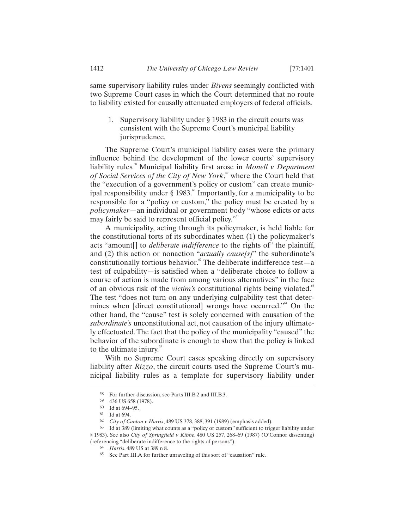same supervisory liability rules under *Bivens* seemingly conflicted with two Supreme Court cases in which the Court determined that no route to liability existed for causally attenuated employers of federal officials.

1. Supervisory liability under § 1983 in the circuit courts was consistent with the Supreme Court's municipal liability jurisprudence.

The Supreme Court's municipal liability cases were the primary influence behind the development of the lower courts' supervisory liability rules.<sup>58</sup> Municipal liability first arose in *Monell v Department of Social Services of the City of New York*, 59 where the Court held that the "execution of a government's policy or custom" can create municipal responsibility under  $\S 1983$ .<sup>60</sup> Importantly, for a municipality to be responsible for a "policy or custom," the policy must be created by a *policymaker*—an individual or government body "whose edicts or acts may fairly be said to represent official policy."<sup>61</sup>

A municipality, acting through its policymaker, is held liable for the constitutional torts of its subordinates when (1) the policymaker's acts "amount[] to *deliberate indifference* to the rights of" the plaintiff, and (2) this action or nonaction "*actually cause[s]*" the subordinate's constitutionally tortious behavior. $^{\circ}$ The deliberate indifference test—a test of culpability—is satisfied when a "deliberate choice to follow a course of action is made from among various alternatives" in the face of an obvious risk of the *victim's* constitutional rights being violated.<sup>6</sup> The test "does not turn on any underlying culpability test that determines when [direct constitutional] wrongs have occurred."<sup>64</sup> On the other hand, the "cause" test is solely concerned with causation of the *subordinate's* unconstitutional act, not causation of the injury ultimately effectuated. The fact that the policy of the municipality "caused" the behavior of the subordinate is enough to show that the policy is linked to the ultimate injury.<sup>65</sup>

With no Supreme Court cases speaking directly on supervisory liability after *Rizzo*, the circuit courts used the Supreme Court's municipal liability rules as a template for supervisory liability under

<sup>58</sup> For further discussion, see Parts III.B.2 and III.B.3.

<sup>59 436</sup> US 658 (1978).

<sup>60</sup> Id at 694–95.

<sup>61</sup> Id at 694.

<sup>62</sup> *City of Canton v Harris*, 489 US 378, 388, 391 (1989) (emphasis added).<br><sup>63</sup> Id at 389 (limiting what counts as a "policy or custom" sufficient to trigger liability under § 1983). See also *City of Springfield v Kibbe*, 480 US 257, 268–69 (1987) (O'Connor dissenting)

<sup>(</sup>referencing "deliberate indifference to the rights of persons"). 64 *Harris*, 489 US at 389 n 8. 65 See Part III.A for further unraveling of this sort of "causation" rule.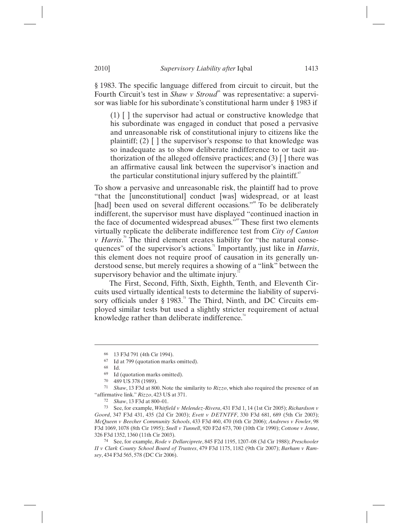§ 1983. The specific language differed from circuit to circuit, but the Fourth Circuit's test in *Shaw v Stroud*<sup>66</sup> was representative: a supervisor was liable for his subordinate's constitutional harm under § 1983 if

 $(1)$  [ ] the supervisor had actual or constructive knowledge that his subordinate was engaged in conduct that posed a pervasive and unreasonable risk of constitutional injury to citizens like the plaintiff;  $(2)$  [ ] the supervisor's response to that knowledge was so inadequate as to show deliberate indifference to or tacit authorization of the alleged offensive practices; and  $(3)$  [] there was an affirmative causal link between the supervisor's inaction and the particular constitutional injury suffered by the plaintiff.<sup>*o*</sup>

To show a pervasive and unreasonable risk, the plaintiff had to prove "that the [unconstitutional] conduct [was] widespread, or at least [had] been used on several different occasions."<sup>88</sup> To be deliberately indifferent, the supervisor must have displayed "continued inaction in the face of documented widespread abuses."<sup>69</sup> These first two elements virtually replicate the deliberate indifference test from *City of Canton*  v *Harris*.<sup>70</sup> The third element creates liability for "the natural consequences" of the supervisor's actions.<sup>71</sup> Importantly, just like in *Harris*, this element does not require proof of causation in its generally understood sense, but merely requires a showing of a "link" between the supervisory behavior and the ultimate injury.

The First, Second, Fifth, Sixth, Eighth, Tenth, and Eleventh Circuits used virtually identical tests to determine the liability of supervisory officials under  $\S 1983$ .<sup>73</sup> The Third, Ninth, and DC Circuits employed similar tests but used a slightly stricter requirement of actual knowledge rather than deliberate indifference.<sup>4</sup>

<sup>66 13</sup> F3d 791 (4th Cir 1994).

<sup>67</sup> Id at 799 (quotation marks omitted).

<sup>68</sup> Id.

 $^{69}$  Id (quotation marks omitted).<br>  $^{70}$  489 US 378 (1989)

<sup>489</sup> US 378 (1989).

<sup>71</sup> *Shaw*, 13 F3d at 800. Note the similarity to *Rizzo*, which also required the presence of an "affirmative link." *Rizzo*, 423 US at 371.

<sup>72</sup> *Shaw*, 13 F3d at 800–01.

<sup>73</sup> See, for example, *Whitfield v Melendez-Rivera*, 431 F3d 1, 14 (1st Cir 2005); *Richardson v Goord*, 347 F3d 431, 435 (2d Cir 2003); *Evett v DETNTFF*, 330 F3d 681, 689 (5th Cir 2003); *McQueen v Beecher Community Schools*, 433 F3d 460, 470 (6th Cir 2006); *Andrews v Fowler*, 98 F3d 1069, 1078 (8th Cir 1995); *Snell v Tunnell*, 920 F2d 673, 700 (10th Cir 1990); *Cottone v Jenne*, 326 F3d 1352, 1360 (11th Cir 2003).

<sup>74</sup> See, for example, *Rode v Dellarciprete*, 845 F2d 1195, 1207–08 (3d Cir 1988); *Preschooler II v Clark County School Board of Trustees*, 479 F3d 1175, 1182 (9th Cir 2007); *Barham v Ramsey*, 434 F3d 565, 578 (DC Cir 2006).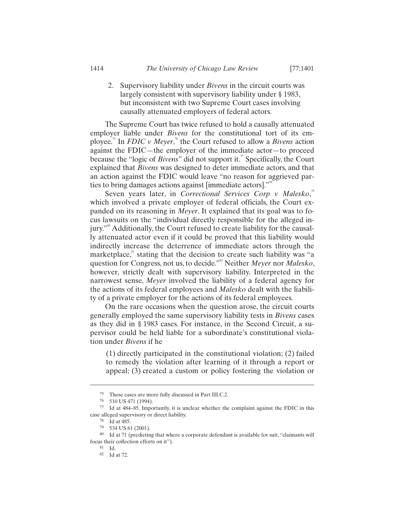2. Supervisory liability under *Bivens* in the circuit courts was largely consistent with supervisory liability under § 1983, but inconsistent with two Supreme Court cases involving causally attenuated employers of federal actors.

The Supreme Court has twice refused to hold a causally attenuated employer liable under *Bivens* for the constitutional tort of its employee.<sup>75</sup> In *FDIC v Meyer*,<sup>76</sup> the Court refused to allow a *Bivens* action against the FDIC—the employer of the immediate actor—to proceed because the "logic of *Bivens*" did not support it.<sup>"</sup> Specifically, the Court explained that *Bivens* was designed to deter immediate actors, and that an action against the FDIC would leave "no reason for aggrieved parties to bring damages actions against [immediate actors]."<sup>8</sup>

Seven years later, in *Correctional Services Corp v Malesko*,<sup>79</sup> which involved a private employer of federal officials, the Court expanded on its reasoning in *Meyer*. It explained that its goal was to focus lawsuits on the "individual directly responsible for the alleged injury."<sup>80</sup> Additionally, the Court refused to create liability for the causally attenuated actor even if it could be proved that this liability would indirectly increase the deterrence of immediate actors through the marketplace, $\frac{81}{10}$  stating that the decision to create such liability was "a question for Congress, not us, to decide."<sup>82</sup> Neither *Meyer* nor *Malesko*, however, strictly dealt with supervisory liability. Interpreted in the narrowest sense, *Meyer* involved the liability of a federal agency for the actions of its federal employees and *Malesko* dealt with the liability of a private employer for the actions of its federal employees.

On the rare occasions when the question arose, the circuit courts generally employed the same supervisory liability tests in *Bivens* cases as they did in § 1983 cases. For instance, in the Second Circuit, a supervisor could be held liable for a subordinate's constitutional violation under *Bivens* if he

(1) directly participated in the constitutional violation; (2) failed to remedy the violation after learning of it through a report or appeal; (3) created a custom or policy fostering the violation or

<sup>75</sup> These cases are more fully discussed in Part III.C.2.

<sup>76 510</sup> US 471 (1994).

<sup>77</sup> Id at 484–85. Importantly, it is unclear whether the complaint against the FDIC in this case alleged supervisory or direct liability.

<sup>78</sup> Id at 485.

<sup>79 534</sup> US 61 (2001).

<sup>80</sup> Id at 71 (predicting that where a corporate defendant is available for suit, "claimants will focus their collection efforts on it").<br> $^{81}$  Id.

<sup>82</sup> Id at 72.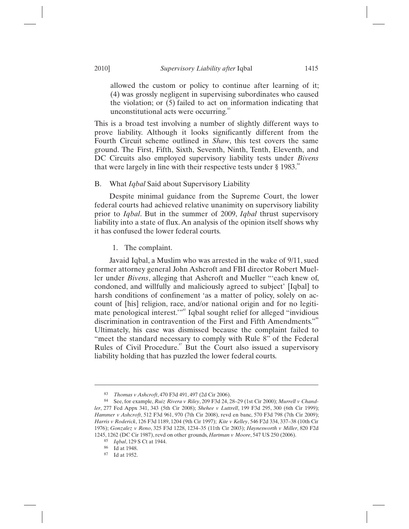#### 2010] *Supervisory Liability after* Iqbal 1415

allowed the custom or policy to continue after learning of it; (4) was grossly negligent in supervising subordinates who caused the violation; or (5) failed to act on information indicating that unconstitutional acts were occurring.<sup>83</sup>

This is a broad test involving a number of slightly different ways to prove liability. Although it looks significantly different from the Fourth Circuit scheme outlined in *Shaw*, this test covers the same ground. The First, Fifth, Sixth, Seventh, Ninth, Tenth, Eleventh, and DC Circuits also employed supervisory liability tests under *Bivens* that were largely in line with their respective tests under  $\S 1983$ .<sup>84</sup>

### B. What *Iqbal* Said about Supervisory Liability

Despite minimal guidance from the Supreme Court, the lower federal courts had achieved relative unanimity on supervisory liability prior to *Iqbal*. But in the summer of 2009, *Iqbal* thrust supervisory liability into a state of flux. An analysis of the opinion itself shows why it has confused the lower federal courts.

1. The complaint.

Javaid Iqbal, a Muslim who was arrested in the wake of 9/11, sued former attorney general John Ashcroft and FBI director Robert Mueller under *Bivens*, alleging that Ashcroft and Mueller "'each knew of, condoned, and willfully and maliciously agreed to subject' [Iqbal] to harsh conditions of confinement 'as a matter of policy, solely on account of [his] religion, race, and/or national origin and for no legitimate penological interest."<sup>55</sup> Iqbal sought relief for alleged "invidious" discrimination in contravention of the First and Fifth Amendments."<sup>86</sup> Ultimately, his case was dismissed because the complaint failed to "meet the standard necessary to comply with Rule 8" of the Federal Rules of Civil Procedure.<sup>87</sup> But the Court also issued a supervisory liability holding that has puzzled the lower federal courts.

<sup>83</sup> *Thomas v Ashcroft*, 470 F3d 491, 497 (2d Cir 2006).

<sup>84</sup> See, for example, *Ruiz Rivera v Riley*, 209 F3d 24, 28–29 (1st Cir 2000); *Murrell v Chandler*, 277 Fed Appx 341, 343 (5th Cir 2008); *Shehee v Luttrell*, 199 F3d 295, 300 (6th Cir 1999); *Hammer v Ashcroft*, 512 F3d 961, 970 (7th Cir 2008), revd en banc, 570 F3d 798 (7th Cir 2009); *Harris v Roderick*, 126 F3d 1189, 1204 (9th Cir 1997); *Kite v Kelley*, 546 F2d 334, 337–38 (10th Cir 1976); *Gonzalez v Reno*, 325 F3d 1228, 1234–35 (11th Cir 2003); *Haynesworth v Miller*, 820 F2d 1245, 1262 (DC Cir 1987), revd on other grounds, *Hartman v Moore*, 547 US 250 (2006).

<sup>85</sup> *Iqbal*, 129 S Ct at 1944. 86 Id at 1948.

<sup>87</sup> Id at 1952.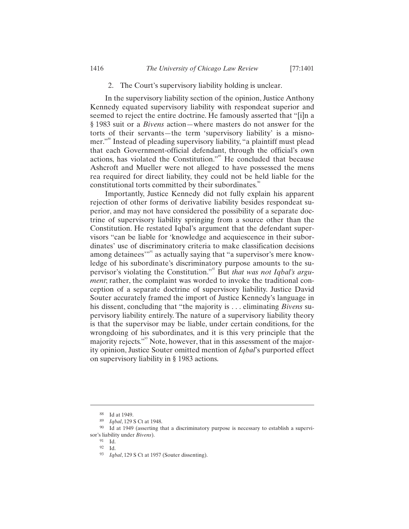### 2. The Court's supervisory liability holding is unclear.

In the supervisory liability section of the opinion, Justice Anthony Kennedy equated supervisory liability with respondeat superior and seemed to reject the entire doctrine. He famously asserted that "[i]n a § 1983 suit or a *Bivens* action—where masters do not answer for the torts of their servants—the term 'supervisory liability' is a misnomer."<sup>88</sup> Instead of pleading supervisory liability, "a plaintiff must plead that each Government-official defendant, through the official's own actions, has violated the Constitution."<sup>89</sup> He concluded that because Ashcroft and Mueller were not alleged to have possessed the mens rea required for direct liability, they could not be held liable for the constitutional torts committed by their subordinates.<sup>90</sup>

Importantly, Justice Kennedy did not fully explain his apparent rejection of other forms of derivative liability besides respondeat superior, and may not have considered the possibility of a separate doctrine of supervisory liability springing from a source other than the Constitution. He restated Iqbal's argument that the defendant supervisors "can be liable for 'knowledge and acquiescence in their subordinates' use of discriminatory criteria to make classification decisions among detainees"<sup>31</sup> as actually saying that "a supervisor's mere knowledge of his subordinate's discriminatory purpose amounts to the supervisor's violating the Constitution."92 But *that was not Iqbal's argument*; rather, the complaint was worded to invoke the traditional conception of a separate doctrine of supervisory liability. Justice David Souter accurately framed the import of Justice Kennedy's language in his dissent, concluding that "the majority is . . . eliminating *Bivens* supervisory liability entirely. The nature of a supervisory liability theory is that the supervisor may be liable, under certain conditions, for the wrongdoing of his subordinates, and it is this very principle that the majority rejects."<sup>93</sup> Note, however, that in this assessment of the majority opinion, Justice Souter omitted mention of *Iqbal*'s purported effect on supervisory liability in § 1983 actions.

<sup>88</sup> Id at 1949.

<sup>&</sup>lt;sup>89</sup> *Iqbal*, 129 S Ct at 1948.<br><sup>90</sup> Id at 1949 (asserting that a discriminatory purpose is necessary to establish a supervisor's liability under *Bivens*).

<sup>91</sup> Id.

<sup>92</sup> Id.

<sup>93</sup> *Iqbal*, 129 S Ct at 1957 (Souter dissenting).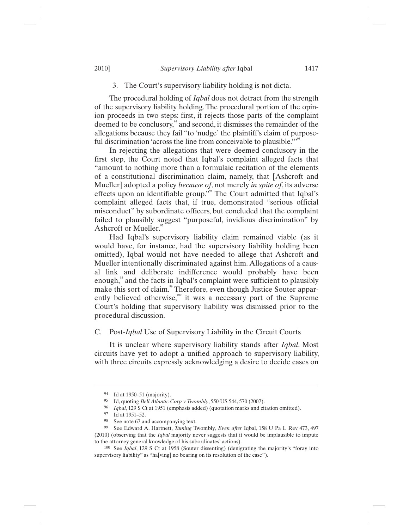#### 2010] *Supervisory Liability after* Iqbal 1417

#### 3. The Court's supervisory liability holding is not dicta.

The procedural holding of *Iqbal* does not detract from the strength of the supervisory liability holding. The procedural portion of the opinion proceeds in two steps: first, it rejects those parts of the complaint deemed to be conclusory,<sup>44</sup> and second, it dismisses the remainder of the allegations because they fail "to 'nudge' the plaintiff's claim of purposeful discrimination 'across the line from conceivable to plausible.'"<sup>55</sup>

In rejecting the allegations that were deemed conclusory in the first step, the Court noted that Iqbal's complaint alleged facts that "amount to nothing more than a formulaic recitation of the elements of a constitutional discrimination claim, namely, that [Ashcroft and Mueller] adopted a policy *because of*, not merely *in spite of*, its adverse effects upon an identifiable group."<sup>%</sup> The Court admitted that Iqbal's complaint alleged facts that, if true, demonstrated "serious official misconduct" by subordinate officers, but concluded that the complaint failed to plausibly suggest "purposeful, invidious discrimination" by Ashcroft or Mueller.

Had Iqbal's supervisory liability claim remained viable (as it would have, for instance, had the supervisory liability holding been omitted), Iqbal would not have needed to allege that Ashcroft and Mueller intentionally discriminated against him. Allegations of a causal link and deliberate indifference would probably have been enough,<sup>88</sup> and the facts in Iqbal's complaint were sufficient to plausibly make this sort of claim.<sup>99</sup> Therefore, even though Justice Souter apparently believed otherwise,<sup>100</sup> it was a necessary part of the Supreme Court's holding that supervisory liability was dismissed prior to the procedural discussion.

### C. Post-*Iqbal* Use of Supervisory Liability in the Circuit Courts

It is unclear where supervisory liability stands after *Iqbal*. Most circuits have yet to adopt a unified approach to supervisory liability, with three circuits expressly acknowledging a desire to decide cases on

<sup>&</sup>lt;sup>94</sup> Id at 1950–51 (majority).<br><sup>95</sup> Id, quoting *Bell Atlantic Corp v Twombly*, 550 US 544, 570 (2007).

<sup>&</sup>lt;sup>96</sup> *Iqbal*, 129 S Ct at 1951 (emphasis added) (quotation marks and citation omitted). <sup>97</sup> Id at 1951–52.

<sup>98</sup> See note 67 and accompanying text.

<sup>99</sup> See Edward A. Hartnett, *Taming* Twombly*, Even after* Iqbal, 158 U Pa L Rev 473, 497 (2010) (observing that the *Iqbal* majority never suggests that it would be implausible to impute to the attorney general knowledge of his subordinates' actions). 100 See *Iqbal*, 129 S Ct at 1958 (Souter dissenting) (denigrating the majority's "foray into

supervisory liability" as "ha[ving] no bearing on its resolution of the case").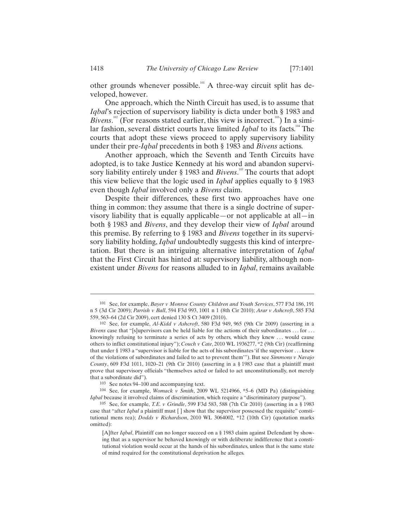other grounds whenever possible.<sup>101</sup> A three-way circuit split has developed, however.

One approach, which the Ninth Circuit has used, is to assume that *Iqbal*'s rejection of supervisory liability is dicta under both § 1983 and *Bivens.*<sup>102</sup> (For reasons stated earlier, this view is incorrect.<sup>103</sup>) In a similar fashion, several district courts have limited *Iqbal* to its facts.<sup>104</sup> The courts that adopt these views proceed to apply supervisory liability under their pre-*Iqbal* precedents in both § 1983 and *Bivens* actions.

Another approach, which the Seventh and Tenth Circuits have adopted, is to take Justice Kennedy at his word and abandon supervisory liability entirely under § 1983 and *Bivens*.<sup>105</sup> The courts that adopt this view believe that the logic used in *Iqbal* applies equally to § 1983 even though *Iqbal* involved only a *Bivens* claim.

Despite their differences, these first two approaches have one thing in common: they assume that there is a single doctrine of supervisory liability that is equally applicable—or not applicable at all—in both § 1983 and *Bivens*, and they develop their view of *Iqbal* around this premise. By referring to § 1983 and *Bivens* together in its supervisory liability holding, *Iqbal* undoubtedly suggests this kind of interpretation. But there is an intriguing alternative interpretation of *Iqbal* that the First Circuit has hinted at: supervisory liability, although nonexistent under *Bivens* for reasons alluded to in *Iqbal*, remains available

<sup>101</sup> See, for example, *Bayer v Monroe County Children and Youth Services*, 577 F3d 186, 191 n 5 (3d Cir 2009); *Parrish v Ball*, 594 F3d 993, 1001 n 1 (8th Cir 2010); *Arar v Ashcroft*, 585 F3d 559, 563–64 (2d Cir 2009), cert denied 130 S Ct 3409 (2010). 102 See, for example, *Al-Kidd v Ashcroft*, 580 F3d 949, 965 (9th Cir 2009) (asserting in a

*Bivens* case that "[s]upervisors can be held liable for the actions of their subordinates . . . for . . . knowingly refusing to terminate a series of acts by others, which they knew ... would cause others to inflict constitutional injury"); *Couch v Cate*, 2010 WL 1936277, \*2 (9th Cir) (reaffirming that under § 1983 a "supervisor is liable for the acts of his subordinates 'if the supervisor . . . knew of the violations of subordinates and failed to act to prevent them'"). But see *Simmons v Navajo County*, 609 F3d 1011, 1020–21 (9th Cir 2010) (asserting in a § 1983 case that a plaintiff must prove that supervisory officials "themselves acted or failed to act unconstitutionally, not merely that a subordinate did").<br> $103$  See notes 94–100 and accompanying text.

<sup>&</sup>lt;sup>104</sup> See, for example, *Womack v Smith*, 2009 WL 5214966, \*5–6 (MD Pa) (distinguishing *Iqbal* because it involved claims of discrimination, which require a "discriminatory purpose").

<sup>105</sup> See, for example, *T.E. v Grindle*, 599 F3d 583, 588 (7th Cir 2010) (asserting in a § 1983 case that "after *Iqbal* a plaintiff must [ ] show that the supervisor possessed the requisite" constitutional mens rea); *Dodds v Richardson*, 2010 WL 3064002, \*12 (10th Cir) (quotation marks omitted):

<sup>[</sup>A]fter *Iqbal*, Plaintiff can no longer succeed on a § 1983 claim against Defendant by showing that as a supervisor he behaved knowingly or with deliberate indifference that a constitutional violation would occur at the hands of his subordinates, unless that is the same state of mind required for the constitutional deprivation he alleges.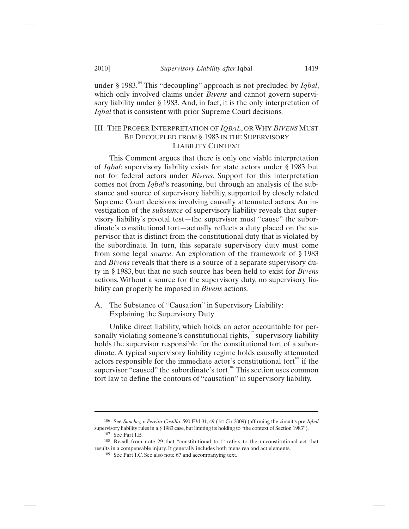under § 1983.<sup>106</sup> This "decoupling" approach is not precluded by *Iqbal*, which only involved claims under *Bivens* and cannot govern supervisory liability under § 1983. And, in fact, it is the only interpretation of *Iqbal* that is consistent with prior Supreme Court decisions.

# III. THE PROPER INTERPRETATION OF *IQBAL*, OR WHY *BIVENS* MUST BE DECOUPLED FROM § 1983 IN THE SUPERVISORY LIABILITY CONTEXT

This Comment argues that there is only one viable interpretation of *Iqbal*: supervisory liability exists for state actors under § 1983 but not for federal actors under *Bivens*. Support for this interpretation comes not from *Iqbal*'s reasoning, but through an analysis of the substance and source of supervisory liability, supported by closely related Supreme Court decisions involving causally attenuated actors. An investigation of the *substance* of supervisory liability reveals that supervisory liability's pivotal test—the supervisor must "cause" the subordinate's constitutional tort—actually reflects a duty placed on the supervisor that is distinct from the constitutional duty that is violated by the subordinate. In turn, this separate supervisory duty must come from some legal *source*. An exploration of the framework of § 1983 and *Bivens* reveals that there is a source of a separate supervisory duty in § 1983, but that no such source has been held to exist for *Bivens* actions. Without a source for the supervisory duty, no supervisory liability can properly be imposed in *Bivens* actions.

A. The Substance of "Causation" in Supervisory Liability: Explaining the Supervisory Duty

Unlike direct liability, which holds an actor accountable for personally violating someone's constitutional rights, $\frac{107}{2}$  supervisory liability holds the supervisor responsible for the constitutional tort of a subordinate. A typical supervisory liability regime holds causally attenuated actors responsible for the immediate actor's constitutional tort<sup>108</sup> if the supervisor "caused" the subordinate's tort.<sup>109</sup> This section uses common tort law to define the contours of "causation" in supervisory liability.

<sup>106</sup> See *Sanchez v Pereira-Castillo*, 590 F3d 31, 49 (1st Cir 2009) (affirming the circuit's pre-*Iqbal* supervisory liability rules in a § 1983 case, but limiting its holding to "the context of Section 1983").

<sup>107</sup> See Part I.B.

<sup>108</sup> Recall from note 29 that "constitutional tort" refers to the unconstitutional act that results in a compensable injury. It generally includes both mens rea and act elements. 109 See Part I.C. See also note 67 and accompanying text.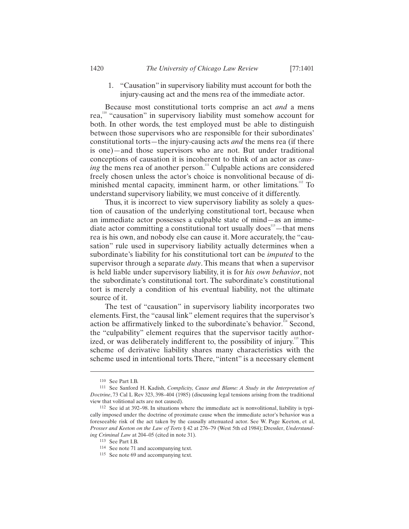1. "Causation" in supervisory liability must account for both the injury-causing act and the mens rea of the immediate actor.

Because most constitutional torts comprise an act *and* a mens rea,110 "causation" in supervisory liability must somehow account for both. In other words, the test employed must be able to distinguish between those supervisors who are responsible for their subordinates' constitutional torts—the injury-causing acts *and* the mens rea (if there is one)—and those supervisors who are not. But under traditional conceptions of causation it is incoherent to think of an actor as *causing* the mens rea of another person.<sup>111</sup> Culpable actions are considered freely chosen unless the actor's choice is nonvolitional because of diminished mental capacity, imminent harm, or other limitations. $112$  To understand supervisory liability, we must conceive of it differently.

Thus, it is incorrect to view supervisory liability as solely a question of causation of the underlying constitutional tort, because when an immediate actor possesses a culpable state of mind—as an immediate actor committing a constitutional tort usually does $n<sup>13</sup>$ —that mens rea is his own, and nobody else can cause it. More accurately, the "causation" rule used in supervisory liability actually determines when a subordinate's liability for his constitutional tort can be *imputed* to the supervisor through a separate *duty*. This means that when a supervisor is held liable under supervisory liability, it is for *his own behavior*, not the subordinate's constitutional tort. The subordinate's constitutional tort is merely a condition of his eventual liability, not the ultimate source of it.

The test of "causation" in supervisory liability incorporates two elements. First, the "causal link" element requires that the supervisor's action be affirmatively linked to the subordinate's behavior.<sup>114</sup> Second, the "culpability" element requires that the supervisor tacitly authorized, or was deliberately indifferent to, the possibility of injury.<sup>115</sup> This scheme of derivative liability shares many characteristics with the scheme used in intentional torts.There, "intent" is a necessary element

<sup>&</sup>lt;sup>110</sup> See Part I.B.<br><sup>111</sup> See Sanford H. Kadish, *Complicity, Cause and Blame: A Study in the Interpretation of Doctrine*, 73 Cal L Rev 323, 398–404 (1985) (discussing legal tensions arising from the traditional view that volitional acts are not caused). 112 See id at 392–98. In situations where the immediate act is nonvolitional, liability is typi-

cally imposed under the doctrine of proximate cause when the immediate actor's behavior was a foreseeable risk of the act taken by the causally attenuated actor. See W. Page Keeton, et al, *Prosser and Keeton on the Law of Torts* § 42 at 276–79 (West 5th ed 1984); Dressler, *Understanding Criminal Law* at 204–05 (cited in note 31).

<sup>&</sup>lt;sup>114</sup> See note 71 and accompanying text.  $115$  See note 69 and accompanying text.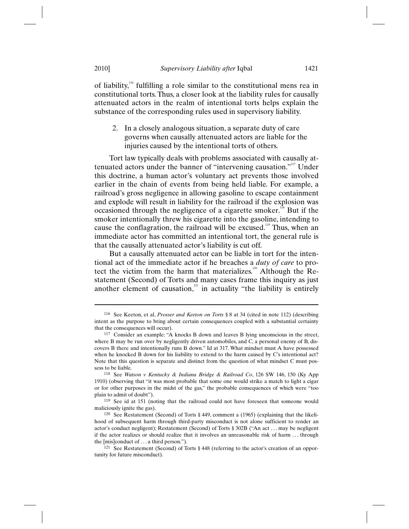of liability, $116$  fulfilling a role similar to the constitutional mens rea in constitutional torts. Thus, a closer look at the liability rules for causally attenuated actors in the realm of intentional torts helps explain the substance of the corresponding rules used in supervisory liability.

2. In a closely analogous situation, a separate duty of care governs when causally attenuated actors are liable for the injuries caused by the intentional torts of others.

Tort law typically deals with problems associated with causally attenuated actors under the banner of "intervening causation."<sup>117</sup> Under this doctrine, a human actor's voluntary act prevents those involved earlier in the chain of events from being held liable. For example, a railroad's gross negligence in allowing gasoline to escape containment and explode will result in liability for the railroad if the explosion was occasioned through the negligence of a cigarette smoker.<sup>118</sup> But if the smoker intentionally threw his cigarette into the gasoline, intending to cause the conflagration, the railroad will be excused.<sup>119</sup> Thus, when an immediate actor has committed an intentional tort, the general rule is that the causally attenuated actor's liability is cut off.

But a causally attenuated actor can be liable in tort for the intentional act of the immediate actor if he breaches a *duty of care* to protect the victim from the harm that materializes.<sup>120</sup> Although the Restatement (Second) of Torts and many cases frame this inquiry as just another element of causation, $n^2$  in actuality "the liability is entirely

1

<sup>116</sup> See Keeton, et al, *Prosser and Keeton on Torts* § 8 at 34 (cited in note 112) (describing intent as the purpose to bring about certain consequences coupled with a substantial certainty that the consequences will occur). 117 Consider an example: "A knocks B down and leaves B lying unconscious in the street,

where B may be run over by negligently driven automobiles, and C, a personal enemy of B, discovers B there and intentionally runs B down." Id at 317. What mindset must A have possessed when he knocked B down for his liability to extend to the harm caused by C's intentional act? Note that this question is separate and distinct from the question of what mindset C must pos-

sess to be liable. 118 See *Watson v Kentucky & Indiana Bridge & Railroad Co*, 126 SW 146, 150 (Ky App 1910) (observing that "it was most probable that some one would strike a match to light a cigar or for other purposes in the midst of the gas," the probable consequences of which were "too plain to admit of doubt").

<sup>119</sup> See id at 151 (noting that the railroad could not have foreseen that someone would maliciously ignite the gas).<br><sup>120</sup> See Restatement (Second) of Torts § 449, comment a (1965) (explaining that the likeli-

hood of subsequent harm through third-party misconduct is not alone sufficient to render an actor's conduct negligent); Restatement (Second) of Torts § 302B ("An act . . . may be negligent if the actor realizes or should realize that it involves an unreasonable risk of harm . . . through the [mis]conduct of ... a third person.").<br><sup>121</sup> See Restatement (Second) of Torts § 448 (referring to the actor's creation of an oppor-

tunity for future misconduct).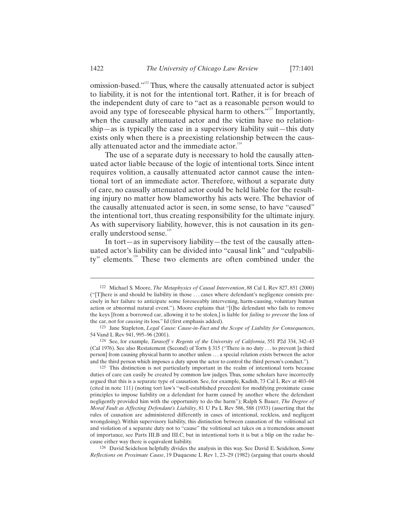omission-based."<sup>122</sup> Thus, where the causally attenuated actor is subject to liability, it is not for the intentional tort. Rather, it is for breach of the independent duty of care to "act as a reasonable person would to avoid any type of foreseeable physical harm to others."<sup>123</sup> Importantly, when the causally attenuated actor and the victim have no relationship—as is typically the case in a supervisory liability suit—this duty exists only when there is a preexisting relationship between the causally attenuated actor and the immediate actor. $124$ 

The use of a separate duty is necessary to hold the causally attenuated actor liable because of the logic of intentional torts. Since intent requires volition, a causally attenuated actor cannot cause the intentional tort of an immediate actor. Therefore, without a separate duty of care, no causally attenuated actor could be held liable for the resulting injury no matter how blameworthy his acts were. The behavior of the causally attenuated actor is seen, in some sense, to have "caused" the intentional tort, thus creating responsibility for the ultimate injury. As with supervisory liability, however, this is not causation in its generally understood sense.<sup>125</sup>

In tort—as in supervisory liability—the test of the causally attenuated actor's liability can be divided into "causal link" and "culpability" elements.<sup>126</sup> These two elements are often combined under the

*Reflections on Proximate Cause*, 19 Duquesne L Rev 1, 23–29 (1982) (arguing that courts should

-

<sup>122</sup> Michael S. Moore, *The Metaphysics of Causal Intervention*, 88 Cal L Rev 827, 851 (2000) ("[T]here is and should be liability in those . . . cases where defendant's negligence consists precisely in her failure to anticipate some foreseeably intervening, harm-causing, voluntary human action or abnormal natural event."). Moore explains that "[t]he defendant who fails to remove the keys [from a borrowed car, allowing it to be stolen,] is liable for *failing to prevent* the loss of the car, not for *causing* its loss." Id (first emphasis added).

<sup>123</sup> Jane Stapleton, *Legal Cause: Cause-in-Fact and the Scope of Liability for Consequences*,

<sup>124</sup> See, for example, *Tarasoff v Regents of the University of California*, 551 P2d 334, 342-43 (Cal 1976). See also Restatement (Second) of Torts § 315 ("There is no duty . . . to prevent [a third person] from causing physical harm to another unless . . . a special relation exists between the actor and the third person which imposes a duty upon the actor to control the third person's conduct.").

<sup>125</sup> This distinction is not particularly important in the realm of intentional torts because duties of care can easily be created by common law judges. Thus, some scholars have incorrectly argued that this is a separate type of causation. See, for example, Kadish, 73 Cal L Rev at 403–04 (cited in note 111) (noting tort law's "well-established precedent for modifying proximate cause principles to impose liability on a defendant for harm caused by another where the defendant negligently provided him with the opportunity to do the harm"); Ralph S. Bauer, *The Degree of Moral Fault as Affecting Defendant's Liability*, 81 U Pa L Rev 586, 588 (1933) (asserting that the rules of causation are administered differently in cases of intentional, reckless, and negligent wrongdoing). Within supervisory liability, this distinction between causation of the volitional act and violation of a separate duty not to "cause" the volitional act takes on a tremendous amount of importance, see Parts III.B and III.C, but in intentional torts it is but a blip on the radar because either way there is equivalent liability. 126 David Seidelson helpfully divides the analysis in this way. See David E. Seidelson, *Some*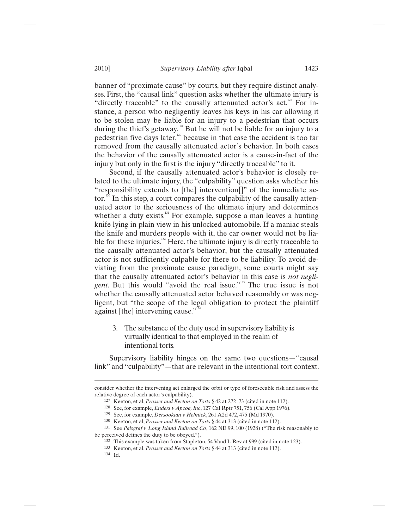banner of "proximate cause" by courts, but they require distinct analyses. First, the "causal link" question asks whether the ultimate injury is "directly traceable" to the causally attenuated actor's act. $127$  For instance, a person who negligently leaves his keys in his car allowing it to be stolen may be liable for an injury to a pedestrian that occurs during the thief's getaway.<sup>128</sup> But he will not be liable for an injury to a pedestrian five days later,129 because in that case the accident is too far removed from the causally attenuated actor's behavior. In both cases the behavior of the causally attenuated actor is a cause-in-fact of the injury but only in the first is the injury "directly traceable" to it.

Second, if the causally attenuated actor's behavior is closely related to the ultimate injury, the "culpability" question asks whether his "responsibility extends to [the] intervention[]" of the immediate actor.<sup>130</sup> In this step, a court compares the culpability of the causally attenuated actor to the seriousness of the ultimate injury and determines whether a duty exists.<sup>131</sup> For example, suppose a man leaves a hunting knife lying in plain view in his unlocked automobile. If a maniac steals the knife and murders people with it, the car owner would not be liable for these injuries.<sup>332</sup> Here, the ultimate injury is directly traceable to the causally attenuated actor's behavior, but the causally attenuated actor is not sufficiently culpable for there to be liability. To avoid deviating from the proximate cause paradigm, some courts might say that the causally attenuated actor's behavior in this case is *not negligent*. But this would "avoid the real issue."133 The true issue is not whether the causally attenuated actor behaved reasonably or was negligent, but "the scope of the legal obligation to protect the plaintiff against  $[the]$  intervening cause."

# 3. The substance of the duty used in supervisory liability is virtually identical to that employed in the realm of intentional torts.

Supervisory liability hinges on the same two questions—"causal link" and "culpability"—that are relevant in the intentional tort context.

134 Id.

consider whether the intervening act enlarged the orbit or type of foreseeable risk and assess the relative degree of each actor's culpability).

<sup>127</sup> Keeton, et al, *Prosser and Keeton on Torts* § 42 at 272–73 (cited in note 112).<br><sup>128</sup> See, for example, *Enders v Apcoa, Inc*, 127 Cal Rptr 751, 756 (Cal App 1976).<br><sup>129</sup> See, for example, *Dersookian v Helmick*, 261

<sup>&</sup>lt;sup>130</sup> Keeton, et al, *Prosser and Keeton on Torts* § 44 at 313 (cited in note 112).

<sup>131</sup> See *Palsgraf v Long Island Railroad Co*, 162 NE 99, 100 (1928) ("The risk reasonably to be perceived defines the duty to be obeyed.").

<sup>132</sup> This example was taken from Stapleton, 54 Vand L Rev at 999 (cited in note 123). 133 Keeton, et al, *Prosser and Keeton on Torts* § 44 at 313 (cited in note 112).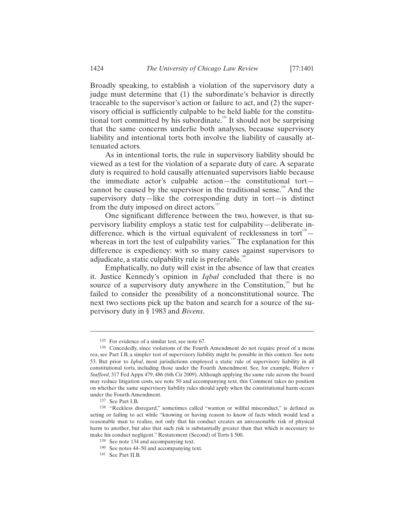Broadly speaking, to establish a violation of the supervisory duty a judge must determine that (1) the subordinate's behavior is directly traceable to the supervisor's action or failure to act, and (2) the supervisory official is sufficiently culpable to be held liable for the constitutional tort committed by his subordinate.<sup>135</sup> It should not be surprising that the same concerns underlie both analyses, because supervisory liability and intentional torts both involve the liability of causally attenuated actors.

As in intentional torts, the rule in supervisory liability should be viewed as a test for the violation of a separate duty of care. A separate duty is required to hold causally attenuated supervisors liable because the immediate actor's culpable action—the constitutional tort cannot be caused by the supervisor in the traditional sense.<sup>136</sup> And the supervisory duty—like the corresponding duty in tort—is distinct from the duty imposed on direct actors. $137$ 

One significant difference between the two, however, is that supervisory liability employs a static test for culpability—deliberate indifference, which is the virtual equivalent of recklessness in tort<sup>138</sup> $$ whereas in tort the test of culpability varies.<sup>139</sup> The explanation for this difference is expediency: with so many cases against supervisors to adjudicate, a static culpability rule is preferable.<sup>14</sup>

Emphatically, no duty will exist in the absence of law that creates it. Justice Kennedy's opinion in *Iqbal* concluded that there is no source of a supervisory duty anywhere in the Constitution, $141$  but he failed to consider the possibility of a nonconstitutional source. The next two sections pick up the baton and search for a source of the supervisory duty in § 1983 and *Bivens*.

<sup>&</sup>lt;sup>135</sup> For evidence of a similar test, see note 67.<br><sup>136</sup> Concededly, since violations of the Fourth Amendment do not require proof of a mens rea, see Part I.B, a simpler test of supervisory liability might be possible in this context. See note 53. But prior to *Iqbal*, most jurisdictions employed a static rule of supervisory liability in all constitutional torts, including those under the Fourth Amendment. See, for example, *Walters v Stafford*, 317 Fed Appx 479, 486 (6th Cir 2009). Although applying the same rule across the board may reduce litigation costs, see note 50 and accompanying text, this Comment takes no position on whether the same supervisory liability rules should apply when the constitutional harm occurs under the Fourth Amendment.<br><sup>137</sup> See Part I.B.

<sup>138 &</sup>quot;Reckless disregard," sometimes called "wanton or willful misconduct," is defined as acting or failing to act while "knowing or having reason to know of facts which would lead a reasonable man to realize, not only that his conduct creates an unreasonable risk of physical harm to another, but also that such risk is substantially greater than that which is necessary to make his conduct negligent." Restatement (Second) of Torts § 500.<br><sup>139</sup> See note 134 and accompanying text.

<sup>&</sup>lt;sup>140</sup> See notes 44–50 and accompanying text. <sup>141</sup> See Part II.B.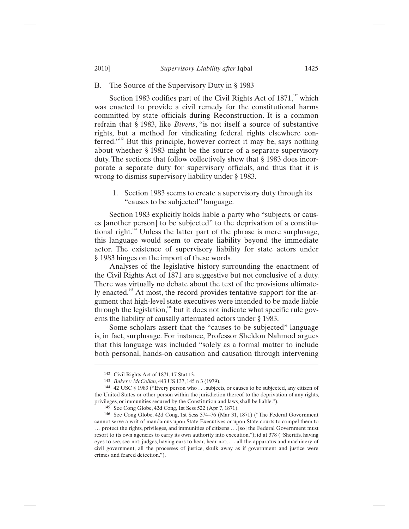# B. The Source of the Supervisory Duty in § 1983

Section 1983 codifies part of the Civil Rights Act of  $1871<sup>142</sup>$  which was enacted to provide a civil remedy for the constitutional harms committed by state officials during Reconstruction. It is a common refrain that § 1983, like *Bivens*, "is not itself a source of substantive rights, but a method for vindicating federal rights elsewhere conferred."<sup>143</sup> But this principle, however correct it may be, says nothing about whether § 1983 might be the source of a separate supervisory duty. The sections that follow collectively show that § 1983 does incorporate a separate duty for supervisory officials, and thus that it is wrong to dismiss supervisory liability under § 1983.

1. Section 1983 seems to create a supervisory duty through its "causes to be subjected" language.

Section 1983 explicitly holds liable a party who "subjects, or causes [another person] to be subjected" to the deprivation of a constitutional right.<sup>144</sup> Unless the latter part of the phrase is mere surplusage, this language would seem to create liability beyond the immediate actor. The existence of supervisory liability for state actors under § 1983 hinges on the import of these words.

Analyses of the legislative history surrounding the enactment of the Civil Rights Act of 1871 are suggestive but not conclusive of a duty. There was virtually no debate about the text of the provisions ultimately enacted.<sup>145</sup> At most, the record provides tentative support for the argument that high-level state executives were intended to be made liable through the legislation,<sup>146</sup> but it does not indicate what specific rule governs the liability of causally attenuated actors under § 1983.

Some scholars assert that the "causes to be subjected" language is, in fact, surplusage. For instance, Professor Sheldon Nahmod argues that this language was included "solely as a formal matter to include both personal, hands-on causation and causation through intervening

<sup>&</sup>lt;sup>142</sup> Civil Rights Act of 1871, 17 Stat 13.<br><sup>143</sup> Baker v McCollan, 443 US 137, 145 n 3 (1979).

<sup>&</sup>lt;sup>144</sup> 42 USC § 1983 ("Every person who . . . subjects, or causes to be subjected, any citizen of the United States or other person within the jurisdiction thereof to the deprivation of any rights, privileges, or immunities secured by the Constitution and laws, shall be liable.").

<sup>145</sup> See Cong Globe, 42d Cong, 1st Sess 522 (Apr 7, 1871).

<sup>146</sup> See Cong Globe, 42d Cong, 1st Sess 374–76 (Mar 31, 1871) ("The Federal Government cannot serve a writ of mandamus upon State Executives or upon State courts to compel them to . . . protect the rights, privileges, and immunities of citizens . . . [so] the Federal Government must resort to its own agencies to carry its own authority into execution."); id at 378 ("Sheriffs, having eyes to see, see not; judges, having ears to hear, hear not; . . . all the apparatus and machinery of civil government, all the processes of justice, skulk away as if government and justice were crimes and feared detection.").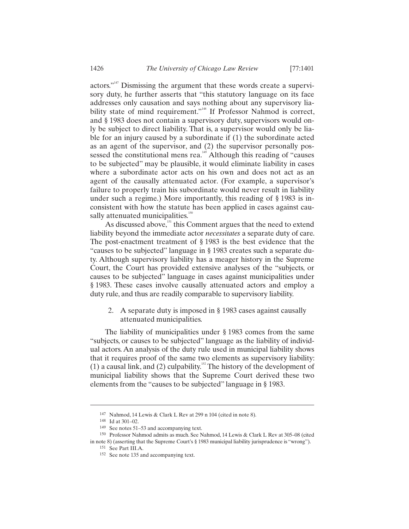actors."147 Dismissing the argument that these words create a supervisory duty, he further asserts that "this statutory language on its face addresses only causation and says nothing about any supervisory liability state of mind requirement."<sup>148</sup> If Professor Nahmod is correct, and § 1983 does not contain a supervisory duty, supervisors would only be subject to direct liability. That is, a supervisor would only be liable for an injury caused by a subordinate if (1) the subordinate acted as an agent of the supervisor, and (2) the supervisor personally possessed the constitutional mens rea.<sup>149</sup> Although this reading of "causes" to be subjected" may be plausible, it would eliminate liability in cases where a subordinate actor acts on his own and does not act as an agent of the causally attenuated actor. (For example, a supervisor's failure to properly train his subordinate would never result in liability under such a regime.) More importantly, this reading of § 1983 is inconsistent with how the statute has been applied in cases against causally attenuated municipalities.<sup>150</sup>

As discussed above,<sup>151</sup> this Comment argues that the need to extend liability beyond the immediate actor *necessitates* a separate duty of care. The post-enactment treatment of § 1983 is the best evidence that the "causes to be subjected" language in § 1983 creates such a separate duty. Although supervisory liability has a meager history in the Supreme Court, the Court has provided extensive analyses of the "subjects, or causes to be subjected" language in cases against municipalities under § 1983. These cases involve causally attenuated actors and employ a duty rule, and thus are readily comparable to supervisory liability.

2. A separate duty is imposed in § 1983 cases against causally attenuated municipalities.

The liability of municipalities under § 1983 comes from the same "subjects, or causes to be subjected" language as the liability of individual actors. An analysis of the duty rule used in municipal liability shows that it requires proof of the same two elements as supervisory liability: (1) a causal link, and (2) culpability.<sup>152</sup> The history of the development of municipal liability shows that the Supreme Court derived these two elements from the "causes to be subjected" language in § 1983.

<sup>147</sup> Nahmod, 14 Lewis & Clark L Rev at 299 n 104 (cited in note 8).

<sup>148</sup> Id at 301–02.

<sup>&</sup>lt;sup>149</sup> See notes 51–53 and accompanying text.<br><sup>150</sup> Professor Nahmod admits as much. See Nahmod, 14 Lewis & Clark L Rev at 305–08 (cited in note 8) (asserting that the Supreme Court's § 1983 municipal liability jurisprudence is "wrong"). 151 See Part III.A.

<sup>152</sup> See note 135 and accompanying text.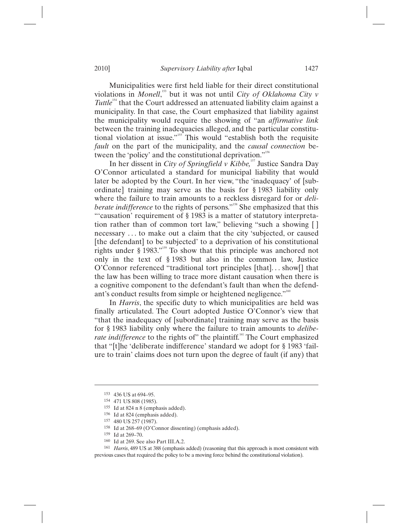Municipalities were first held liable for their direct constitutional violations in *Monell*, 153 but it was not until *City of Oklahoma City v Tuttle*<sup>154</sup> that the Court addressed an attenuated liability claim against a municipality. In that case, the Court emphasized that liability against the municipality would require the showing of "an *affirmative link* between the training inadequacies alleged, and the particular constitutional violation at issue."<sup>155</sup> This would "establish both the requisite *fault* on the part of the municipality, and the *causal connection* between the 'policy' and the constitutional deprivation."<sup>156</sup>

In her dissent in *City of Springfield v Kibbe*,<sup>157</sup> Justice Sandra Day O'Connor articulated a standard for municipal liability that would later be adopted by the Court. In her view, "the 'inadequacy' of [subordinate] training may serve as the basis for § 1983 liability only where the failure to train amounts to a reckless disregard for or *deliberate indifference* to the rights of persons."<sup>158</sup> She emphasized that this "'causation' requirement of § 1983 is a matter of statutory interpretation rather than of common tort law," believing "such a showing [ ] necessary . . . to make out a claim that the city 'subjected, or caused [the defendant] to be subjected' to a deprivation of his constitutional rights under § 1983."159 To show that this principle was anchored not only in the text of § 1983 but also in the common law, Justice O'Connor referenced "traditional tort principles [that]. . . show[] that the law has been willing to trace more distant causation when there is a cognitive component to the defendant's fault than when the defendant's conduct results from simple or heightened negligence."<sup>160</sup>

In *Harris*, the specific duty to which municipalities are held was finally articulated. The Court adopted Justice O'Connor's view that "that the inadequacy of [subordinate] training may serve as the basis for § 1983 liability only where the failure to train amounts to *deliberate indifference* to the rights of" the plaintiff.<sup>161</sup> The Court emphasized that "[t]he 'deliberate indifference' standard we adopt for § 1983 'failure to train' claims does not turn upon the degree of fault (if any) that

<sup>&</sup>lt;sup>153</sup> 436 US at 694–95.<br><sup>154</sup> 471 US 808 (1985).

 $155$  Id at 824 n 8 (emphasis added).

<sup>156</sup> Id at 824 (emphasis added). 157 480 US 257 (1987).

<sup>&</sup>lt;sup>158</sup> Id at 268–69 (O'Connor dissenting) (emphasis added).<br><sup>159</sup> Id at 269–70.<br><sup>160</sup> Id at 269. See also Part III.A.2.

<sup>&</sup>lt;sup>161</sup> *Harris*, 489 US at 388 (emphasis added) (reasoning that this approach is most consistent with previous cases that required the policy to be a moving force behind the constitutional violation).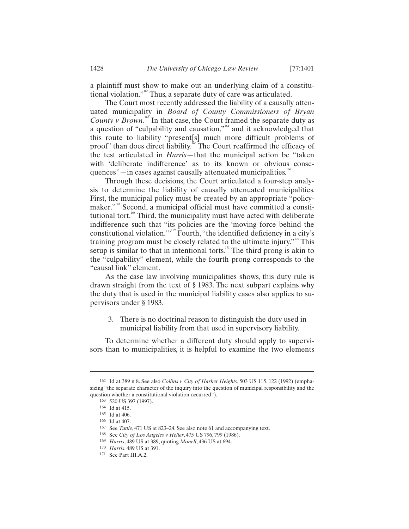a plaintiff must show to make out an underlying claim of a constitutional violation." $^{\omega\omega}$  Thus, a separate duty of care was articulated.

The Court most recently addressed the liability of a causally attenuated municipality in *Board of County Commissioners of Bryan County v Brown*. 163 In that case, the Court framed the separate duty as a question of "culpability and causation,"<sup>64</sup> and it acknowledged that this route to liability "present[s] much more difficult problems of proof" than does direct liability.<sup>165</sup> The Court reaffirmed the efficacy of the test articulated in *Harris*—that the municipal action be "taken with 'deliberate indifference' as to its known or obvious consequences"—in cases against causally attenuated municipalities.<sup>16</sup>

Through these decisions, the Court articulated a four-step analysis to determine the liability of causally attenuated municipalities. First, the municipal policy must be created by an appropriate "policymaker."<sup>567</sup> Second, a municipal official must have committed a constitutional tort.<sup>168</sup> Third, the municipality must have acted with deliberate indifference such that "its policies are the 'moving force behind the constitutional violation.'"169 Fourth, "the identified deficiency in a city's training program must be closely related to the ultimate injury. $v^{170}$  This setup is similar to that in intentional torts.<sup>171</sup> The third prong is akin to the "culpability" element, while the fourth prong corresponds to the "causal link" element.

As the case law involving municipalities shows, this duty rule is drawn straight from the text of § 1983. The next subpart explains why the duty that is used in the municipal liability cases also applies to supervisors under § 1983.

3. There is no doctrinal reason to distinguish the duty used in municipal liability from that used in supervisory liability.

To determine whether a different duty should apply to supervisors than to municipalities, it is helpful to examine the two elements

<sup>162</sup> Id at 389 n 8. See also *Collins v City of Harker Heights*, 503 US 115, 122 (1992) (emphasizing "the separate character of the inquiry into the question of municipal responsibility and the question whether a constitutional violation occurred").<br>  $^{163}$  520 US 397 (1997).<br>  $^{164}$  Id at 415.<br>  $^{165}$  Id at 406.<br>  $^{166}$  Id at 407.<br>  $^{167}$  See Tuttle, 471 US at 823–24. See also note 61 and accompanying text

<sup>169</sup> *Harris*, 489 US at 389, quoting *Monell*, 436 US at 694. 170 *Harris*, 489 US at 391. 171 See Part III.A.2.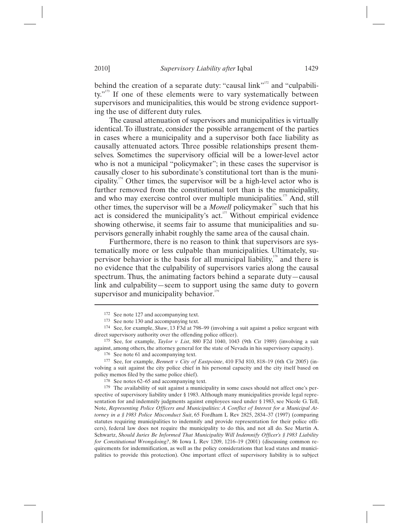behind the creation of a separate duty: "causal link"<sup>172</sup> and "culpability."<sup>173</sup> If one of these elements were to vary systematically between supervisors and municipalities, this would be strong evidence supporting the use of different duty rules.

The causal attenuation of supervisors and municipalities is virtually identical. To illustrate, consider the possible arrangement of the parties in cases where a municipality and a supervisor both face liability as causally attenuated actors. Three possible relationships present themselves. Sometimes the supervisory official will be a lower-level actor who is not a municipal "policymaker"; in these cases the supervisor is causally closer to his subordinate's constitutional tort than is the municipality.<sup>174</sup> Other times, the supervisor will be a high-level actor who is further removed from the constitutional tort than is the municipality, and who may exercise control over multiple municipalities.<sup>175</sup> And, still other times, the supervisor will be a *Monell* policymaker<sup>176</sup> such that his act is considered the municipality's act. $177$  Without empirical evidence showing otherwise, it seems fair to assume that municipalities and supervisors generally inhabit roughly the same area of the causal chain.

Furthermore, there is no reason to think that supervisors are systematically more or less culpable than municipalities. Ultimately, supervisor behavior is the basis for all municipal liability, $\frac{178}{10}$  and there is no evidence that the culpability of supervisors varies along the causal spectrum. Thus, the animating factors behind a separate duty—causal link and culpability—seem to support using the same duty to govern supervisor and municipality behavior.<sup>19</sup>

178 See notes 62–65 and accompanying text.

179 The availability of suit against a municipality in some cases should not affect one's perspective of supervisory liability under § 1983. Although many municipalities provide legal representation for and indemnify judgments against employees sued under § 1983, see Nicole G. Tell, Note, *Representing Police Officers and Municipalities: A Conflict of Interest for a Municipal Attorney in a § 1983 Police Misconduct Suit*, 65 Fordham L Rev 2825, 2834–37 (1997) (comparing statutes requiring municipalities to indemnify and provide representation for their police officers), federal law does not require the municipality to do this, and not all do. See Martin A. Schwartz, *Should Juries Be Informed That Municipality Will Indemnify Officer's § 1983 Liability for Constitutional Wrongdoing?*, 86 Iowa L Rev 1209, 1216–19 (2001) (discussing common requirements for indemnification, as well as the policy considerations that lead states and municipalities to provide this protection). One important effect of supervisory liability is to subject

<sup>172</sup> See note 127 and accompanying text.

<sup>173</sup> See note 130 and accompanying text. 174 See, for example, *Shaw*, 13 F3d at 798–99 (involving a suit against a police sergeant with direct supervisory authority over the offending police officer).

<sup>175</sup> See, for example, *Taylor v List*, 880 F2d 1040, 1043 (9th Cir 1989) (involving a suit against, among others, the attorney general for the state of Nevada in his supervisory capacity).

<sup>176</sup> See note 61 and accompanying text.

<sup>177</sup> See, for example, *Bennett v City of Eastpointe*, 410 F3d 810, 818–19 (6th Cir 2005) (involving a suit against the city police chief in his personal capacity and the city itself based on policy memos filed by the same police chief).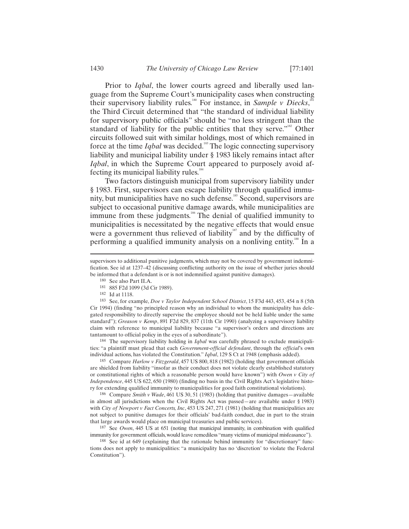Prior to *Iqbal*, the lower courts agreed and liberally used language from the Supreme Court's municipality cases when constructing their supervisory liability rules.<sup>180</sup> For instance, in *Sample v Diecks*,<sup>181</sup> the Third Circuit determined that "the standard of individual liability for supervisory public officials" should be "no less stringent than the standard of liability for the public entities that they serve."<sup>182</sup> Other circuits followed suit with similar holdings, most of which remained in force at the time *Iqbal* was decided.<sup>183</sup> The logic connecting supervisory liability and municipal liability under § 1983 likely remains intact after *Iqbal*, in which the Supreme Court appeared to purposely avoid affecting its municipal liability rules.<sup>184</sup>

Two factors distinguish municipal from supervisory liability under § 1983. First, supervisors can escape liability through qualified immunity, but municipalities have no such defense.<sup>185</sup> Second, supervisors are subject to occasional punitive damage awards, while municipalities are immune from these judgments.<sup>186</sup> The denial of qualified immunity to municipalities is necessitated by the negative effects that would ensue were a government thus relieved of liability<sup>187</sup> and by the difficulty of performing a qualified immunity analysis on a nonliving entity.<sup>188</sup> In a

-

184 The supervisory liability holding in *Iqbal* was carefully phrased to exclude municipalities: "a plaintiff must plead that each *Government-official defendant*, through the *official*'s own individual actions, has violated the Constitution." *Iqbal*, 129 S Ct at 1948 (emphasis added).

185 Compare *Harlow v Fitzgerald*, 457 US 800, 818 (1982) (holding that government officials are shielded from liability "insofar as their conduct does not violate clearly established statutory or constitutional rights of which a reasonable person would have known") with *Owen v City of Independence*, 445 US 622, 650 (1980) (finding no basis in the Civil Rights Act's legislative history for extending qualified immunity to municipalities for good faith constitutional violations). 186 Compare *Smith v Wade*, 461 US 30, 51 (1983) (holding that punitive damages—available

in almost all jurisdictions when the Civil Rights Act was passed—are available under § 1983) with *City of Newport v Fact Concerts, Inc*, 453 US 247, 271 (1981) (holding that municipalities are not subject to punitive damages for their officials' bad-faith conduct, due in part to the strain that large awards would place on municipal treasuries and public services). 187 See *Owen*, 445 US at 651 (noting that municipal immunity, in combination with qualified

immunity for government officials, would leave remediless "many victims of municipal misfeasance").

188 See id at 649 (explaining that the rationale behind immunity for "discretionary" functions does not apply to municipalities: "a municipality has no 'discretion' to violate the Federal Constitution").

supervisors to additional punitive judgments, which may not be covered by government indemnification. See id at 1237–42 (discussing conflicting authority on the issue of whether juries should be informed that a defendant is or is not indemnified against punitive damages).<br><sup>180</sup> See also Part II.A.

<sup>181 885</sup> F2d 1099 (3d Cir 1989).<br><sup>182</sup> Id at 1118.

<sup>183</sup> See, for example, *Doe v Taylor Independent School District*, 15 F3d 443, 453, 454 n 8 (5th Cir 1994) (finding "no principled reason why an individual to whom the municipality has delegated responsibility to directly supervise the employee should not be held liable under the same standard"); *Greason v Kemp*, 891 F2d 829, 837 (11th Cir 1990) (analyzing a supervisory liability claim with reference to municipal liability because "a supervisor's orders and directions are tantamount to official policy in the eyes of a subordinate").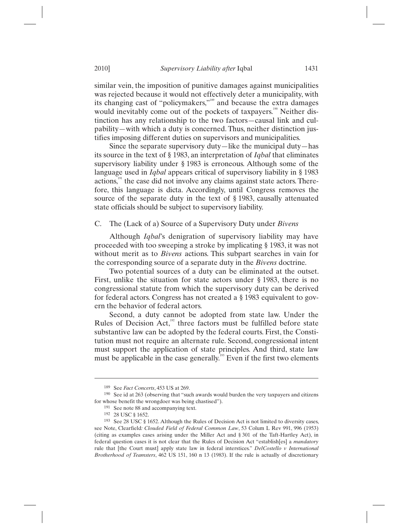similar vein, the imposition of punitive damages against municipalities was rejected because it would not effectively deter a municipality, with its changing cast of "policymakers,"189 and because the extra damages would inevitably come out of the pockets of taxpayers.<sup>190</sup> Neither distinction has any relationship to the two factors—causal link and culpability—with which a duty is concerned. Thus, neither distinction justifies imposing different duties on supervisors and municipalities.

Since the separate supervisory duty—like the municipal duty—has its source in the text of § 1983, an interpretation of *Iqbal* that eliminates supervisory liability under § 1983 is erroneous. Although some of the language used in *Iqbal* appears critical of supervisory liability in § 1983  $\arccos$ <sup>191</sup>, the case did not involve any claims against state actors. Therefore, this language is dicta. Accordingly, until Congress removes the source of the separate duty in the text of § 1983, causally attenuated state officials should be subject to supervisory liability.

### C. The (Lack of a) Source of a Supervisory Duty under *Bivens*

Although *Iqbal*'s denigration of supervisory liability may have proceeded with too sweeping a stroke by implicating § 1983, it was not without merit as to *Bivens* actions. This subpart searches in vain for the corresponding source of a separate duty in the *Bivens* doctrine.

Two potential sources of a duty can be eliminated at the outset. First, unlike the situation for state actors under § 1983, there is no congressional statute from which the supervisory duty can be derived for federal actors. Congress has not created a § 1983 equivalent to govern the behavior of federal actors.

Second, a duty cannot be adopted from state law. Under the Rules of Decision Act, $192$  three factors must be fulfilled before state substantive law can be adopted by the federal courts. First, the Constitution must not require an alternate rule. Second, congressional intent must support the application of state principles. And third, state law must be applicable in the case generally.<sup>193</sup> Even if the first two elements

<sup>&</sup>lt;sup>189</sup> See *Fact Concerts*, 453 US at 269.<br><sup>190</sup> See id at 263 (observing that "such awards would burden the very taxpayers and citizens for whose benefit the wrongdoer was being chastised").<br><sup>191</sup> See note 88 and accompanying text.<br><sup>192</sup> 28 USC § 1652.

<sup>193</sup> See 28 USC § 1652. Although the Rules of Decision Act is not limited to diversity cases, see Note, Clearfield*: Clouded Field of Federal Common Law*, 53 Colum L Rev 991, 996 (1953) (citing as examples cases arising under the Miller Act and § 301 of the Taft-Hartley Act), in federal question cases it is not clear that the Rules of Decision Act "establish[es] a *mandatory* rule that [the Court must] apply state law in federal interstices." *DelCostello v International Brotherhood of Teamsters*, 462 US 151, 160 n 13 (1983). If the rule is actually of discretionary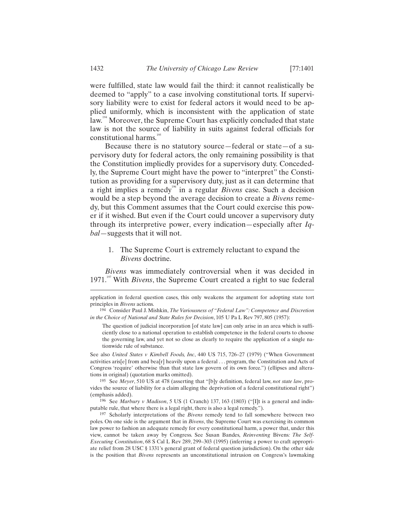were fulfilled, state law would fail the third: it cannot realistically be deemed to "apply" to a case involving constitutional torts. If supervisory liability were to exist for federal actors it would need to be applied uniformly, which is inconsistent with the application of state law.<sup>194</sup> Moreover, the Supreme Court has explicitly concluded that state law is not the source of liability in suits against federal officials for constitutional harms. $195$ 

Because there is no statutory source—federal or state—of a supervisory duty for federal actors, the only remaining possibility is that the Constitution impliedly provides for a supervisory duty. Concededly, the Supreme Court might have the power to "interpret" the Constitution as providing for a supervisory duty, just as it can determine that a right implies a remedy<sup>196</sup> in a regular *Bivens* case. Such a decision would be a step beyond the average decision to create a *Bivens* remedy, but this Comment assumes that the Court could exercise this power if it wished. But even if the Court could uncover a supervisory duty through its interpretive power, every indication—especially after *Iqbal*—suggests that it will not.

1. The Supreme Court is extremely reluctant to expand the *Bivens* doctrine.

*Bivens* was immediately controversial when it was decided in 1971.197 With *Bivens*, the Supreme Court created a right to sue federal

See also *United States v Kimbell Foods, Inc*, 440 US 715, 726–27 (1979) ("When Government activities aris[e] from and bea[r] heavily upon a federal . . . program, the Constitution and Acts of Congress 'require' otherwise than that state law govern of its own force.") (ellipses and alterations in original) (quotation marks omitted).

195 See *Meyer*, 510 US at 478 (asserting that "[b]y definition, federal law, *not state law*, provides the source of liability for a claim alleging the deprivation of a federal constitutional right") (emphasis added). 196 See *Marbury v Madison*, 5 US (1 Cranch) 137, 163 (1803) ("[I]t is a general and indis-

putable rule, that where there is a legal right, there is also a legal remedy."). 197 Scholarly interpretations of the *Bivens* remedy tend to fall somewhere between two

poles. On one side is the argument that in *Bivens*, the Supreme Court was exercising its common law power to fashion an adequate remedy for every constitutional harm, a power that, under this view, cannot be taken away by Congress. See Susan Bandes, *Reinventing* Bivens*: The Self-Executing Constitution*, 68 S Cal L Rev 289, 299–303 (1995) (inferring a power to craft appropriate relief from 28 USC § 1331's general grant of federal question jurisdiction). On the other side is the position that *Bivens* represents an unconstitutional intrusion on Congress's lawmaking

application in federal question cases, this only weakens the argument for adopting state tort principles in *Bivens* actions.

<sup>194</sup> Consider Paul J. Mishkin, *The Variousness of "Federal Law": Competence and Discretion in the Choice of National and State Rules for Decision*, 105 U Pa L Rev 797, 805 (1957):

The question of judicial incorporation [of state law] can only arise in an area which is sufficiently close to a national operation to establish competence in the federal courts to choose the governing law, and yet not so close as clearly to require the application of a single nationwide rule of substance.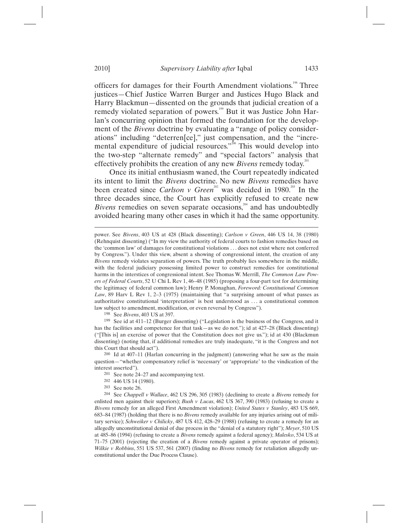officers for damages for their Fourth Amendment violations.<sup>198</sup> Three justices—Chief Justice Warren Burger and Justices Hugo Black and Harry Blackmun—dissented on the grounds that judicial creation of a remedy violated separation of powers.<sup>199</sup> But it was Justice John Harlan's concurring opinion that formed the foundation for the development of the *Bivens* doctrine by evaluating a "range of policy considerations" including "deterren[ce]," just compensation, and the "incremental expenditure of judicial resources."<sup>200</sup> This would develop into the two-step "alternate remedy" and "special factors" analysis that effectively prohibits the creation of any new *Bivens* remedy today.<sup>201</sup>

Once its initial enthusiasm waned, the Court repeatedly indicated its intent to limit the *Bivens* doctrine. No new *Bivens* remedies have been created since *Carlson v Green*<sup>202</sup> was decided in 1980.<sup>203</sup> In the three decades since, the Court has explicitly refused to create new *Bivens* remedies on seven separate occasions, $\frac{204}{3}$  and has undoubtedly avoided hearing many other cases in which it had the same opportunity.

199 See id at 411–12 (Burger dissenting) ("Legislation is the business of the Congress, and it has the facilities and competence for that task—as we do not."); id at 427–28 (Black dissenting) ("[This is] an exercise of power that the Constitution does not give us."); id at 430 (Blackmun dissenting) (noting that, if additional remedies are truly inadequate, "it is the Congress and not this Court that should act").<br><sup>200</sup> Id at 407–11 (Harlan concurring in the judgment) (answering what he saw as the main

question—"whether compensatory relief is 'necessary' or 'appropriate' to the vindication of the interest asserted").<br><sup>201</sup> See note 24–27 and accompanying text.<br><sup>202</sup> 446 US 14 (1980).

- 
- 
- 

<sup>203</sup> See note 26.<br><sup>204</sup> See *Chappell v Wallace*, 462 US 296, 305 (1983) (declining to create a *Bivens* remedy for enlisted men against their superiors); *Bush v Lucas*, 462 US 367, 390 (1983) (refusing to create a *Bivens* remedy for an alleged First Amendment violation); *United States v Stanley*, 483 US 669, 683–84 (1987) (holding that there is no *Bivens* remedy available for any injuries arising out of military service); *Schweiker v Chilicky*, 487 US 412, 428–29 (1988) (refusing to create a remedy for an allegedly unconstitutional denial of due process in the "denial of a statutory right"); *Meyer*, 510 US at 485–86 (1994) (refusing to create a *Bivens* remedy against a federal agency); *Malesko*, 534 US at 71–75 (2001) (rejecting the creation of a *Bivens* remedy against a private operator of prisons); *Wilkie v Robbins*, 551 US 537, 561 (2007) (finding no *Bivens* remedy for retaliation allegedly unconstitutional under the Due Process Clause).

power. See *Bivens*, 403 US at 428 (Black dissenting); *Carlson v Green*, 446 US 14, 38 (1980) (Rehnquist dissenting) ("In my view the authority of federal courts to fashion remedies based on the 'common law' of damages for constitutional violations . . . does not exist where not conferred by Congress."). Under this view, absent a showing of congressional intent, the creation of any *Bivens* remedy violates separation of powers. The truth probably lies somewhere in the middle, with the federal judiciary possessing limited power to construct remedies for constitutional harms in the interstices of congressional intent. See Thomas W. Merrill, *The Common Law Powers of Federal Courts*, 52 U Chi L Rev 1, 46–48 (1985) (proposing a four-part test for determining the legitimacy of federal common law); Henry P. Monaghan, *Foreword: Constitutional Common Law*, 89 Harv L Rev 1, 2–3 (1975) (maintaining that "a surprising amount of what passes as authoritative constitutional 'interpretation' is best understood as . . . a constitutional common law subject to amendment, modification, or even reversal by Congress"). 198 See *Bivens*, 403 US at 397.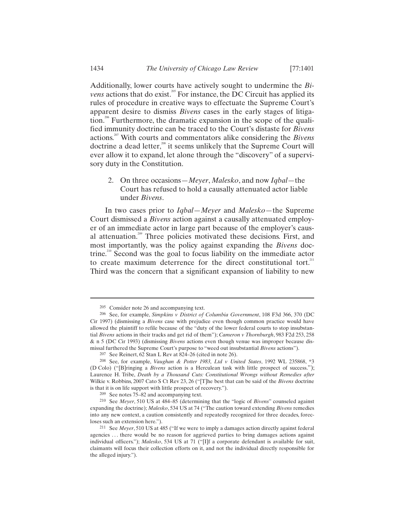Additionally, lower courts have actively sought to undermine the *Bivens* actions that do exist.<sup>205</sup> For instance, the DC Circuit has applied its rules of procedure in creative ways to effectuate the Supreme Court's apparent desire to dismiss *Bivens* cases in the early stages of litigation.<sup>206</sup> Furthermore, the dramatic expansion in the scope of the qualified immunity doctrine can be traced to the Court's distaste for *Bivens* actions.207 With courts and commentators alike considering the *Bivens* doctrine a dead letter,<sup>208</sup> it seems unlikely that the Supreme Court will ever allow it to expand, let alone through the "discovery" of a supervisory duty in the Constitution.

2. On three occasions—*Meyer*, *Malesko*, and now *Iqbal*—the Court has refused to hold a causally attenuated actor liable under *Bivens*.

In two cases prior to *Iqbal*—*Meyer* and *Malesko*—the Supreme Court dismissed a *Bivens* action against a causally attenuated employer of an immediate actor in large part because of the employer's causal attenuation.<sup>209</sup> Three policies motivated these decisions. First, and most importantly, was the policy against expanding the *Bivens* doctrine.<sup>210</sup> Second was the goal to focus liability on the immediate actor to create maximum deterrence for the direct constitutional tort.<sup>211</sup> Third was the concern that a significant expansion of liability to new

<sup>205</sup> Consider note 26 and accompanying text. 206 See, for example, *Simpkins v District of Columbia Government*, 108 F3d 366, 370 (DC Cir 1997) (dismissing a *Bivens* case with prejudice even though common practice would have allowed the plaintiff to refile because of the "duty of the lower federal courts to stop insubstantial *Bivens* actions in their tracks and get rid of them"); *Cameron v Thornburgh*, 983 F2d 253, 258 & n 5 (DC Cir 1993) (dismissing *Bivens* actions even though venue was improper because dismissal furthered the Supreme Court's purpose to "weed out insubstantial *Bivens* actions").

<sup>207</sup> See Reinert, 62 Stan L Rev at 824–26 (cited in note 26).

<sup>208</sup> See, for example, *Vaughan & Potter 1983, Ltd v United States*, 1992 WL 235868, \*3 (D Colo) ("[B]ringing a *Bivens* action is a Herculean task with little prospect of success."); Laurence H. Tribe, *Death by a Thousand Cuts: Constitutional Wrongs without Remedies after*  Wilkie v. Robbins, 2007 Cato S Ct Rev 23, 26 ("[T]he best that can be said of the *Bivens* doctrine is that it is on life support with little prospect of recovery."). 209 See notes 75–82 and accompanying text.

<sup>210</sup> See *Meyer*, 510 US at 484–85 (determining that the "logic of *Bivens*" counseled against expanding the doctrine); *Malesko*, 534 US at 74 ("The caution toward extending *Bivens* remedies into any new context, a caution consistently and repeatedly recognized for three decades, forecloses such an extension here."). 211 See *Meyer*, 510 US at 485 ("If we were to imply a damages action directly against federal

agencies . . . there would be no reason for aggrieved parties to bring damages actions against individual officers."); *Malesko*, 534 US at 71 ("[I]f a corporate defendant is available for suit, claimants will focus their collection efforts on it, and not the individual directly responsible for the alleged injury.").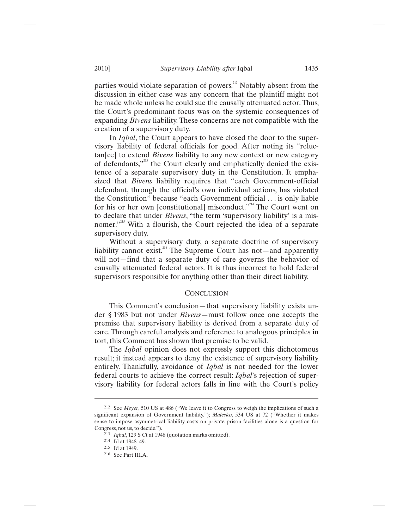parties would violate separation of powers.<sup>212</sup> Notably absent from the discussion in either case was any concern that the plaintiff might not be made whole unless he could sue the causally attenuated actor. Thus, the Court's predominant focus was on the systemic consequences of expanding *Bivens* liability. These concerns are not compatible with the creation of a supervisory duty.

In *Iqbal*, the Court appears to have closed the door to the supervisory liability of federal officials for good. After noting its "reluctan[ce] to extend *Bivens* liability to any new context or new category of defendants,"<sup>213</sup> the Court clearly and emphatically denied the existence of a separate supervisory duty in the Constitution. It emphasized that *Bivens* liability requires that "each Government-official defendant, through the official's own individual actions, has violated the Constitution" because "each Government official . . . is only liable for his or her own [constitutional] misconduct."<sup>214</sup> The Court went on to declare that under *Bivens*, "the term 'supervisory liability' is a misnomer."<sup>215</sup> With a flourish, the Court rejected the idea of a separate supervisory duty.

Without a supervisory duty, a separate doctrine of supervisory liability cannot exist.<sup>216</sup> The Supreme Court has not—and apparently will not—find that a separate duty of care governs the behavior of causally attenuated federal actors. It is thus incorrect to hold federal supervisors responsible for anything other than their direct liability.

#### **CONCLUSION**

This Comment's conclusion—that supervisory liability exists under § 1983 but not under *Bivens*—must follow once one accepts the premise that supervisory liability is derived from a separate duty of care. Through careful analysis and reference to analogous principles in tort, this Comment has shown that premise to be valid.

The *Iqbal* opinion does not expressly support this dichotomous result; it instead appears to deny the existence of supervisory liability entirely. Thankfully, avoidance of *Iqbal* is not needed for the lower federal courts to achieve the correct result: *Iqbal*'s rejection of supervisory liability for federal actors falls in line with the Court's policy

<sup>212</sup> See *Meyer*, 510 US at 486 ("We leave it to Congress to weigh the implications of such a significant expansion of Government liability."); *Malesko*, 534 US at 72 ("Whether it makes sense to impose asymmetrical liability costs on private prison facilities alone is a question for Congress, not us, to decide."). 213 *Iqbal*, 129 S Ct at 1948 (quotation marks omitted).

<sup>&</sup>lt;sup>215</sup> Id at 1949.<br><sup>216</sup> See Part III.A.